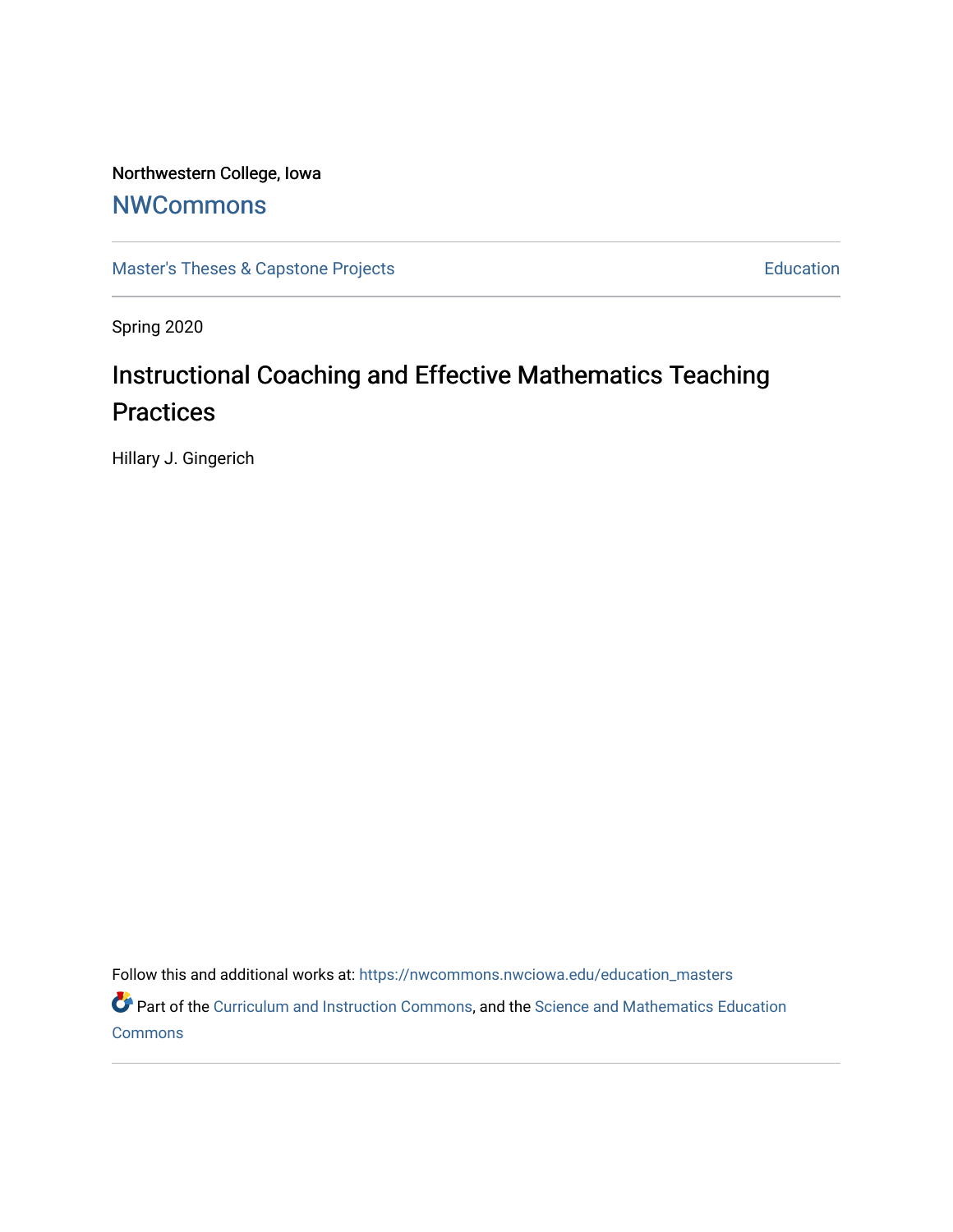Northwestern College, Iowa

# **[NWCommons](https://nwcommons.nwciowa.edu/)**

[Master's Theses & Capstone Projects](https://nwcommons.nwciowa.edu/education_masters) **Education** Education

Spring 2020

# Instructional Coaching and Effective Mathematics Teaching **Practices**

Hillary J. Gingerich

Follow this and additional works at: [https://nwcommons.nwciowa.edu/education\\_masters](https://nwcommons.nwciowa.edu/education_masters?utm_source=nwcommons.nwciowa.edu%2Feducation_masters%2F1&utm_medium=PDF&utm_campaign=PDFCoverPages)

Part of the [Curriculum and Instruction Commons,](http://network.bepress.com/hgg/discipline/786?utm_source=nwcommons.nwciowa.edu%2Feducation_masters%2F1&utm_medium=PDF&utm_campaign=PDFCoverPages) and the [Science and Mathematics Education](http://network.bepress.com/hgg/discipline/800?utm_source=nwcommons.nwciowa.edu%2Feducation_masters%2F1&utm_medium=PDF&utm_campaign=PDFCoverPages)  [Commons](http://network.bepress.com/hgg/discipline/800?utm_source=nwcommons.nwciowa.edu%2Feducation_masters%2F1&utm_medium=PDF&utm_campaign=PDFCoverPages)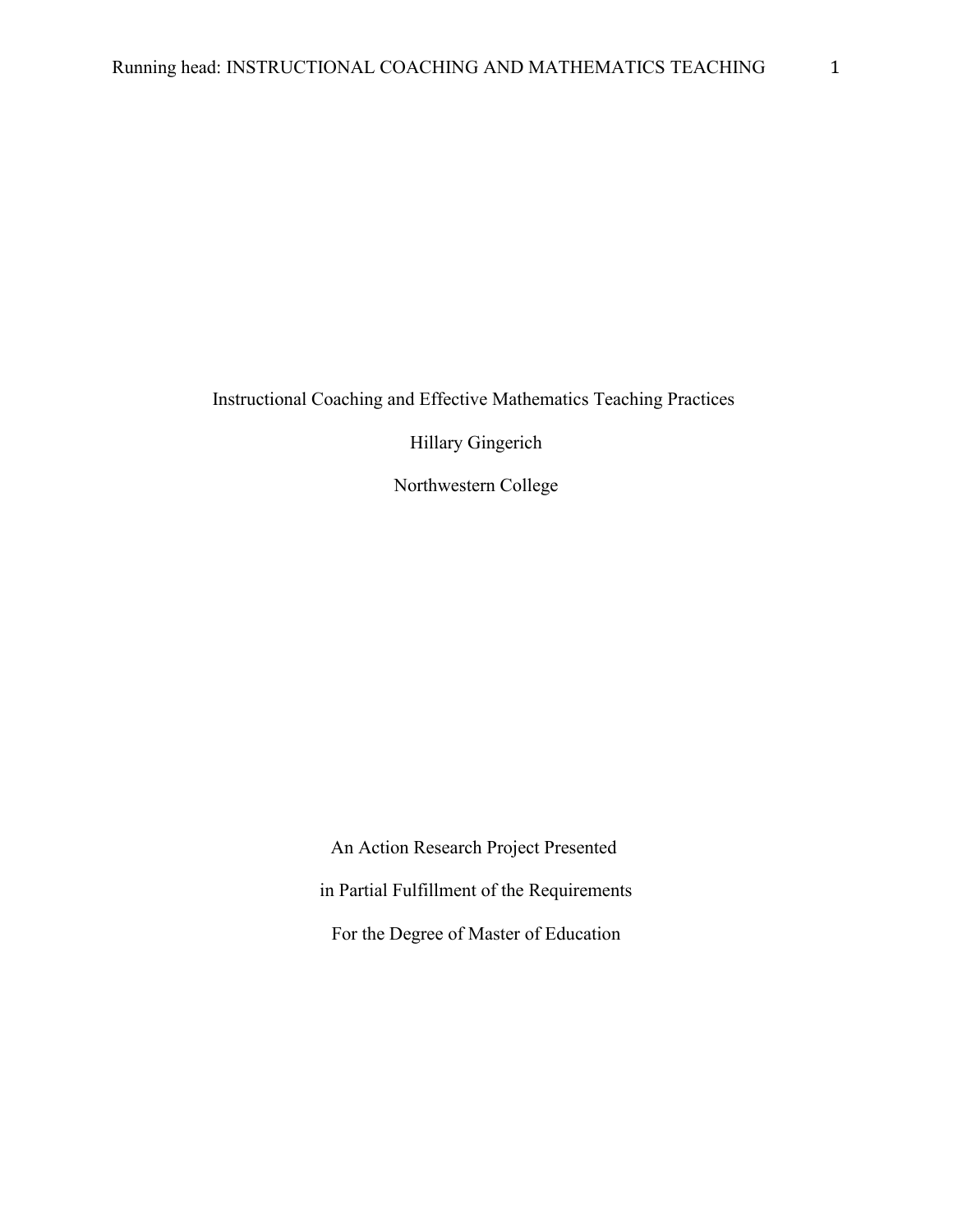Instructional Coaching and Effective Mathematics Teaching Practices

Hillary Gingerich

Northwestern College

An Action Research Project Presented in Partial Fulfillment of the Requirements For the Degree of Master of Education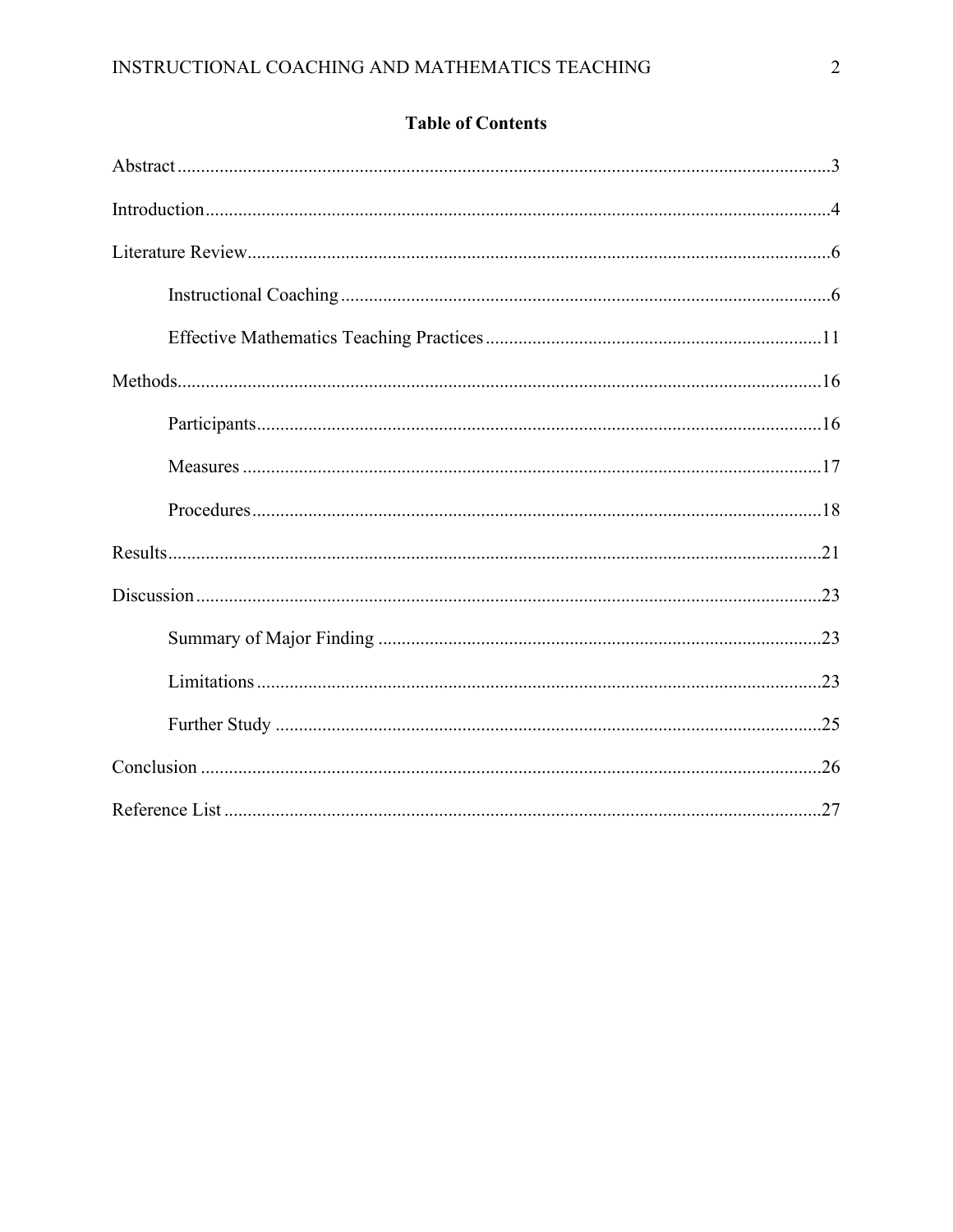| <b>Table of Contents</b> |  |
|--------------------------|--|
|--------------------------|--|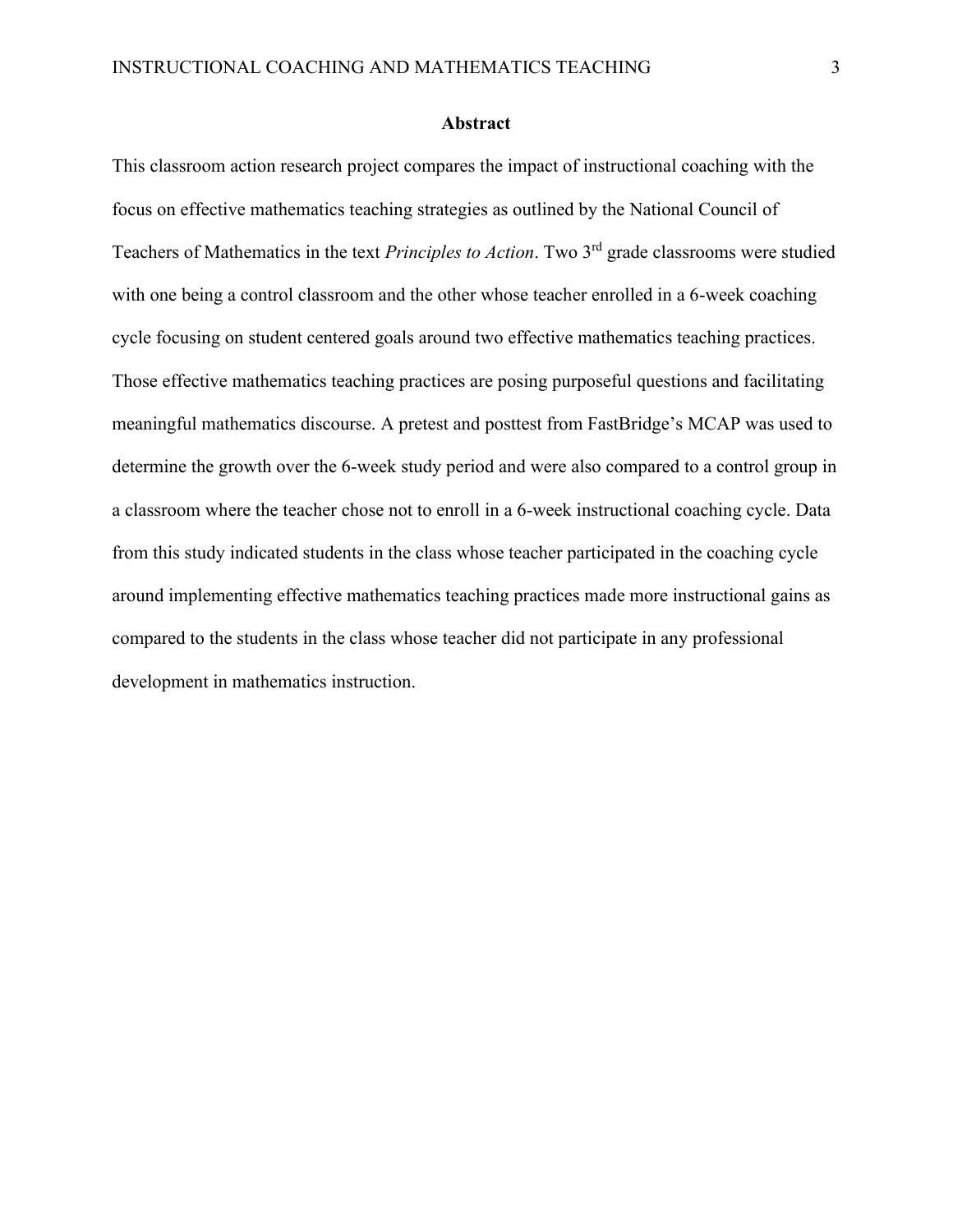#### **Abstract**

This classroom action research project compares the impact of instructional coaching with the focus on effective mathematics teaching strategies as outlined by the National Council of Teachers of Mathematics in the text *Principles to Action*. Two 3rd grade classrooms were studied with one being a control classroom and the other whose teacher enrolled in a 6-week coaching cycle focusing on student centered goals around two effective mathematics teaching practices. Those effective mathematics teaching practices are posing purposeful questions and facilitating meaningful mathematics discourse. A pretest and posttest from FastBridge's MCAP was used to determine the growth over the 6-week study period and were also compared to a control group in a classroom where the teacher chose not to enroll in a 6-week instructional coaching cycle. Data from this study indicated students in the class whose teacher participated in the coaching cycle around implementing effective mathematics teaching practices made more instructional gains as compared to the students in the class whose teacher did not participate in any professional development in mathematics instruction.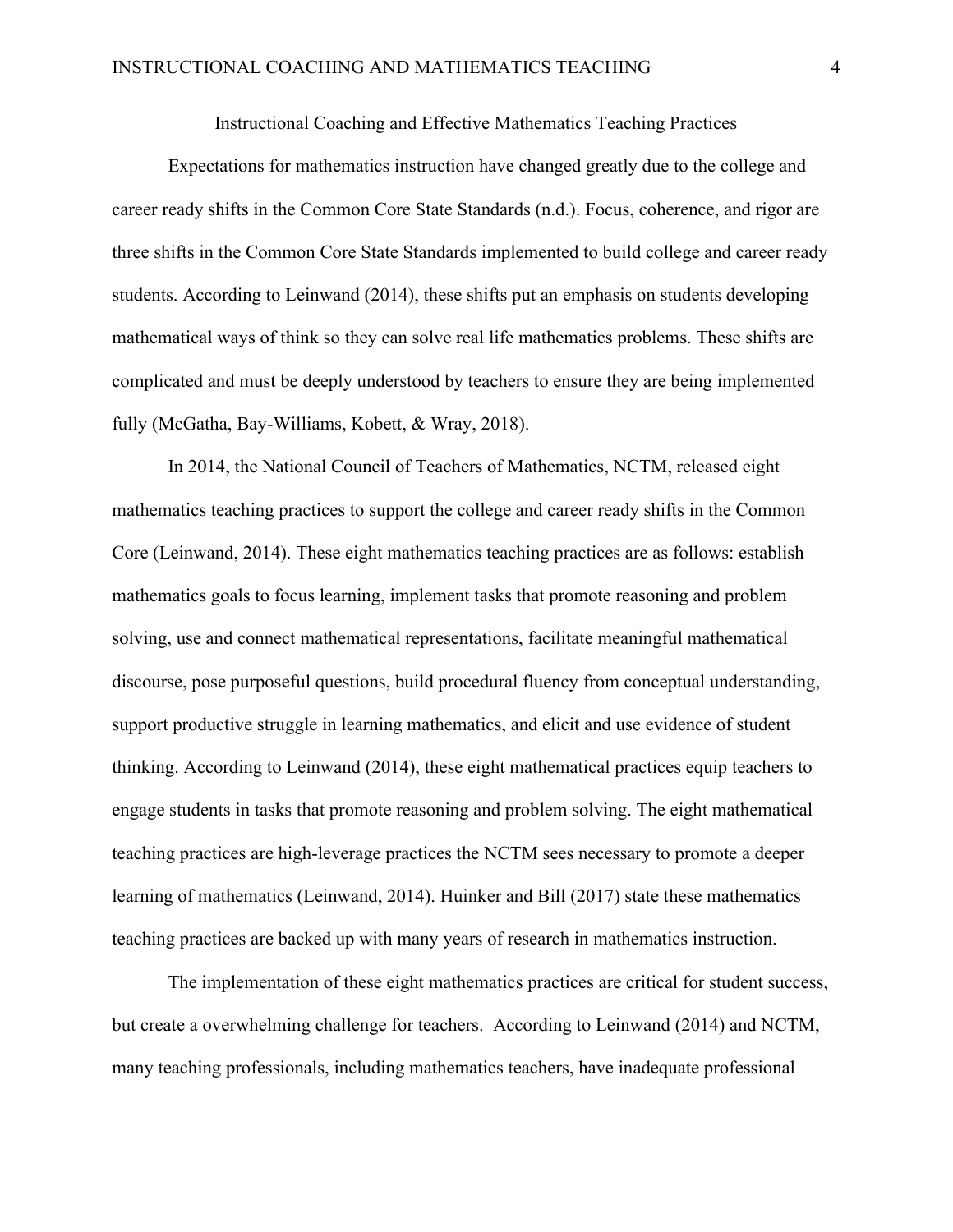Instructional Coaching and Effective Mathematics Teaching Practices

Expectations for mathematics instruction have changed greatly due to the college and career ready shifts in the Common Core State Standards (n.d.). Focus, coherence, and rigor are three shifts in the Common Core State Standards implemented to build college and career ready students. According to Leinwand (2014), these shifts put an emphasis on students developing mathematical ways of think so they can solve real life mathematics problems. These shifts are complicated and must be deeply understood by teachers to ensure they are being implemented fully (McGatha, Bay-Williams, Kobett, & Wray, 2018).

In 2014, the National Council of Teachers of Mathematics, NCTM, released eight mathematics teaching practices to support the college and career ready shifts in the Common Core (Leinwand, 2014). These eight mathematics teaching practices are as follows: establish mathematics goals to focus learning, implement tasks that promote reasoning and problem solving, use and connect mathematical representations, facilitate meaningful mathematical discourse, pose purposeful questions, build procedural fluency from conceptual understanding, support productive struggle in learning mathematics, and elicit and use evidence of student thinking. According to Leinwand (2014), these eight mathematical practices equip teachers to engage students in tasks that promote reasoning and problem solving. The eight mathematical teaching practices are high-leverage practices the NCTM sees necessary to promote a deeper learning of mathematics (Leinwand, 2014). Huinker and Bill (2017) state these mathematics teaching practices are backed up with many years of research in mathematics instruction.

The implementation of these eight mathematics practices are critical for student success, but create a overwhelming challenge for teachers. According to Leinwand (2014) and NCTM, many teaching professionals, including mathematics teachers, have inadequate professional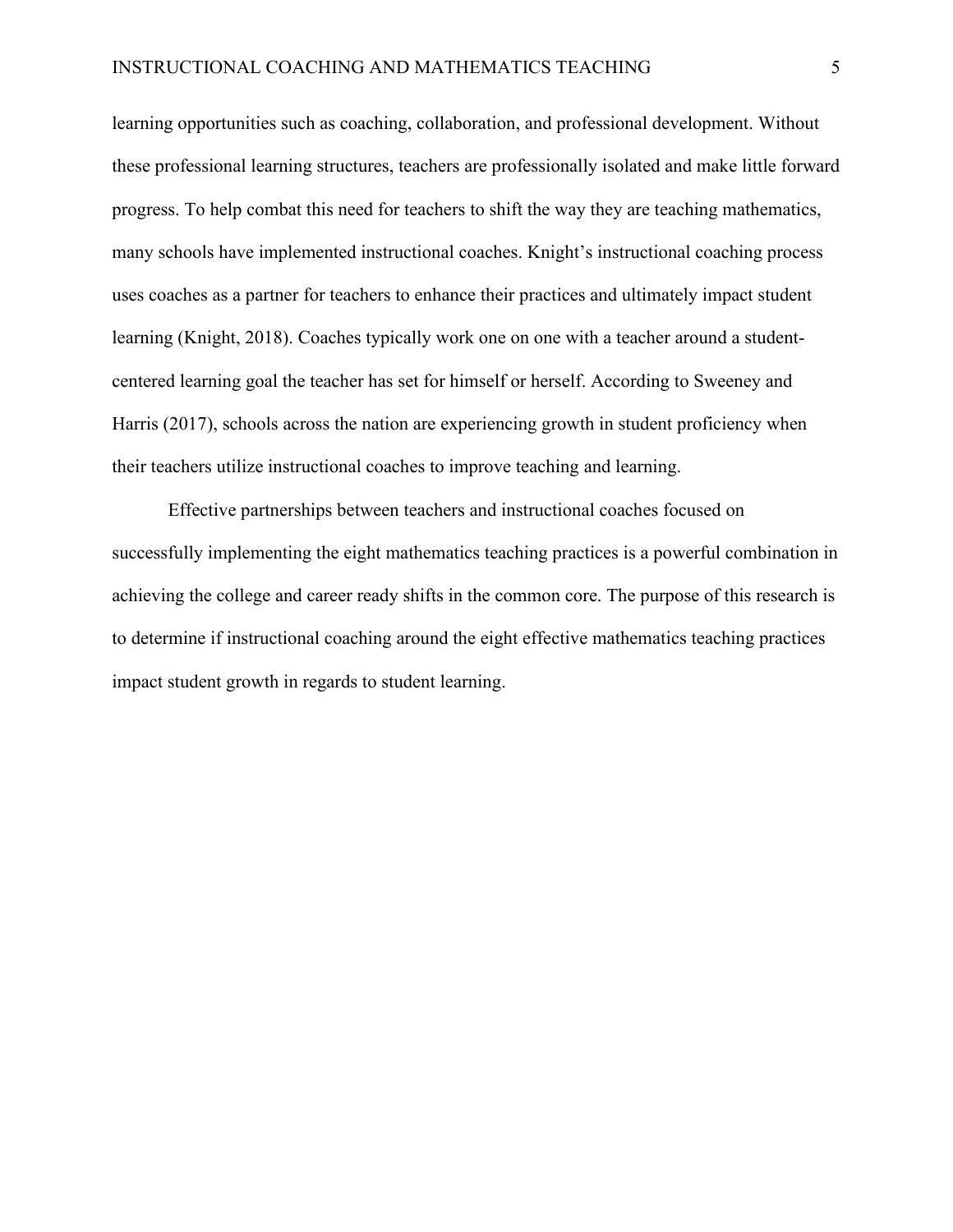learning opportunities such as coaching, collaboration, and professional development. Without these professional learning structures, teachers are professionally isolated and make little forward progress. To help combat this need for teachers to shift the way they are teaching mathematics, many schools have implemented instructional coaches. Knight's instructional coaching process uses coaches as a partner for teachers to enhance their practices and ultimately impact student learning (Knight, 2018). Coaches typically work one on one with a teacher around a studentcentered learning goal the teacher has set for himself or herself. According to Sweeney and Harris (2017), schools across the nation are experiencing growth in student proficiency when their teachers utilize instructional coaches to improve teaching and learning.

Effective partnerships between teachers and instructional coaches focused on successfully implementing the eight mathematics teaching practices is a powerful combination in achieving the college and career ready shifts in the common core. The purpose of this research is to determine if instructional coaching around the eight effective mathematics teaching practices impact student growth in regards to student learning.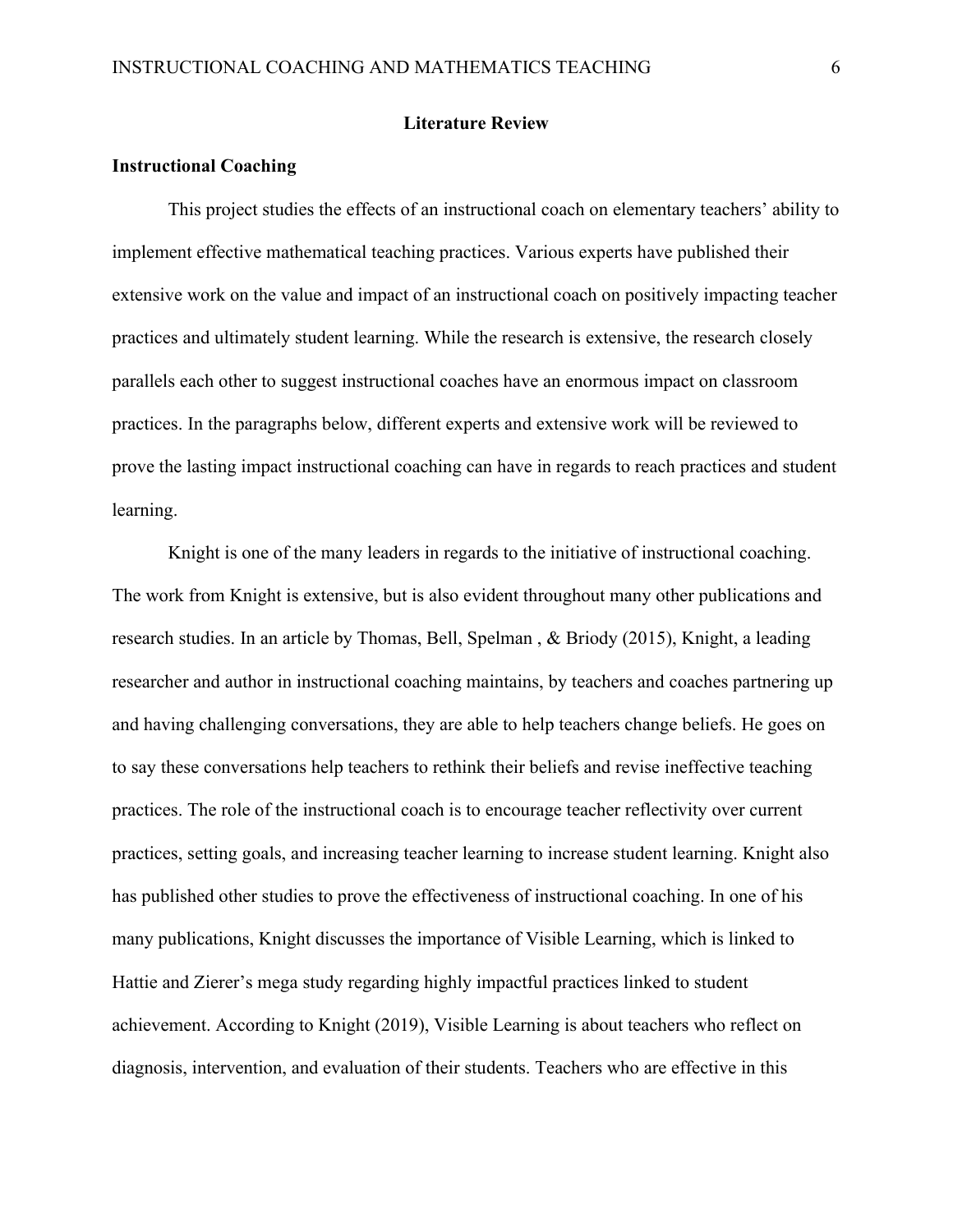#### **Literature Review**

# **Instructional Coaching**

This project studies the effects of an instructional coach on elementary teachers' ability to implement effective mathematical teaching practices. Various experts have published their extensive work on the value and impact of an instructional coach on positively impacting teacher practices and ultimately student learning. While the research is extensive, the research closely parallels each other to suggest instructional coaches have an enormous impact on classroom practices. In the paragraphs below, different experts and extensive work will be reviewed to prove the lasting impact instructional coaching can have in regards to reach practices and student learning.

Knight is one of the many leaders in regards to the initiative of instructional coaching. The work from Knight is extensive, but is also evident throughout many other publications and research studies. In an article by Thomas, Bell, Spelman , & Briody (2015), Knight, a leading researcher and author in instructional coaching maintains, by teachers and coaches partnering up and having challenging conversations, they are able to help teachers change beliefs. He goes on to say these conversations help teachers to rethink their beliefs and revise ineffective teaching practices. The role of the instructional coach is to encourage teacher reflectivity over current practices, setting goals, and increasing teacher learning to increase student learning. Knight also has published other studies to prove the effectiveness of instructional coaching. In one of his many publications, Knight discusses the importance of Visible Learning, which is linked to Hattie and Zierer's mega study regarding highly impactful practices linked to student achievement. According to Knight (2019), Visible Learning is about teachers who reflect on diagnosis, intervention, and evaluation of their students. Teachers who are effective in this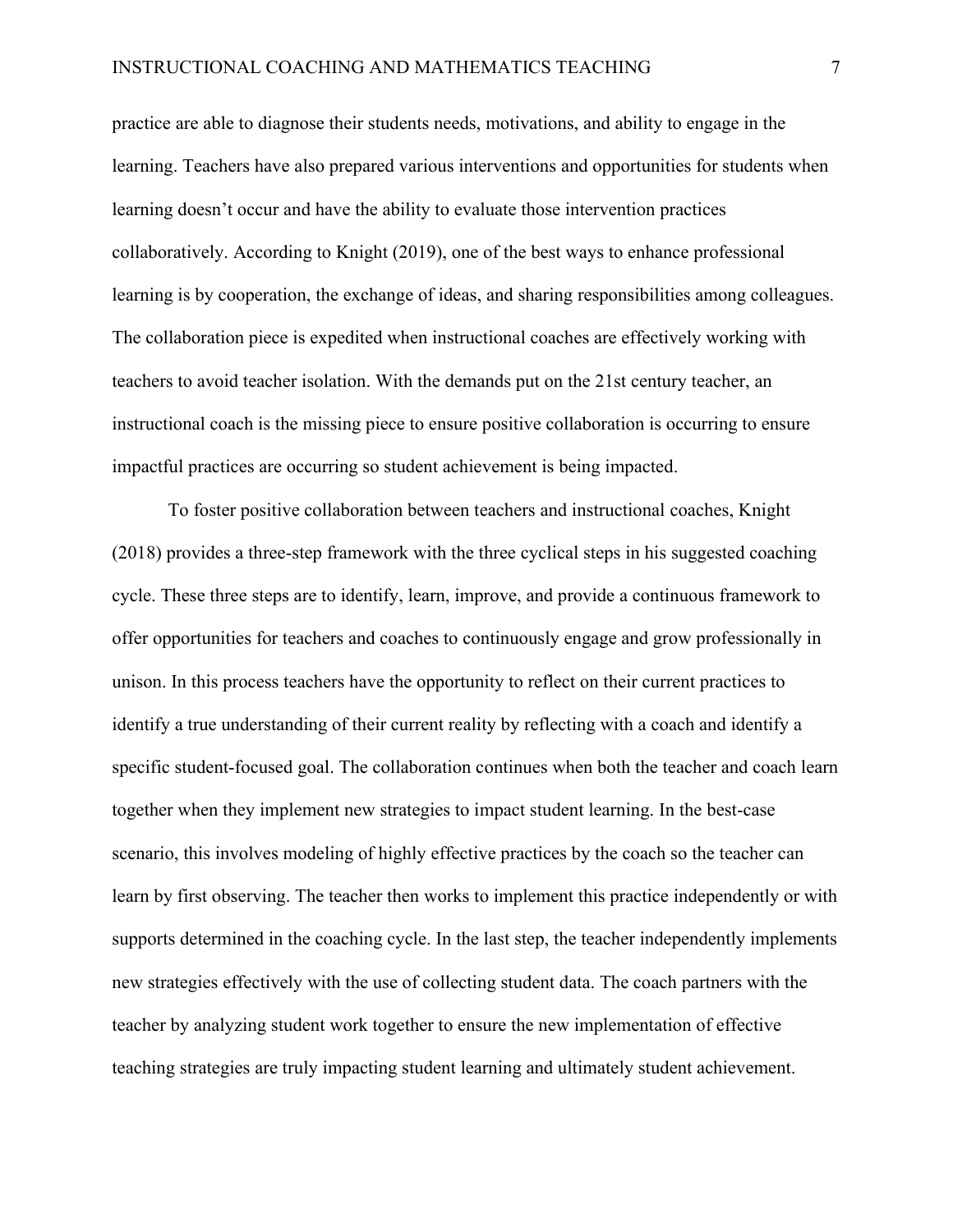practice are able to diagnose their students needs, motivations, and ability to engage in the learning. Teachers have also prepared various interventions and opportunities for students when learning doesn't occur and have the ability to evaluate those intervention practices collaboratively. According to Knight (2019), one of the best ways to enhance professional learning is by cooperation, the exchange of ideas, and sharing responsibilities among colleagues. The collaboration piece is expedited when instructional coaches are effectively working with teachers to avoid teacher isolation. With the demands put on the 21st century teacher, an instructional coach is the missing piece to ensure positive collaboration is occurring to ensure impactful practices are occurring so student achievement is being impacted.

To foster positive collaboration between teachers and instructional coaches, Knight (2018) provides a three-step framework with the three cyclical steps in his suggested coaching cycle. These three steps are to identify, learn, improve, and provide a continuous framework to offer opportunities for teachers and coaches to continuously engage and grow professionally in unison. In this process teachers have the opportunity to reflect on their current practices to identify a true understanding of their current reality by reflecting with a coach and identify a specific student-focused goal. The collaboration continues when both the teacher and coach learn together when they implement new strategies to impact student learning. In the best-case scenario, this involves modeling of highly effective practices by the coach so the teacher can learn by first observing. The teacher then works to implement this practice independently or with supports determined in the coaching cycle. In the last step, the teacher independently implements new strategies effectively with the use of collecting student data. The coach partners with the teacher by analyzing student work together to ensure the new implementation of effective teaching strategies are truly impacting student learning and ultimately student achievement.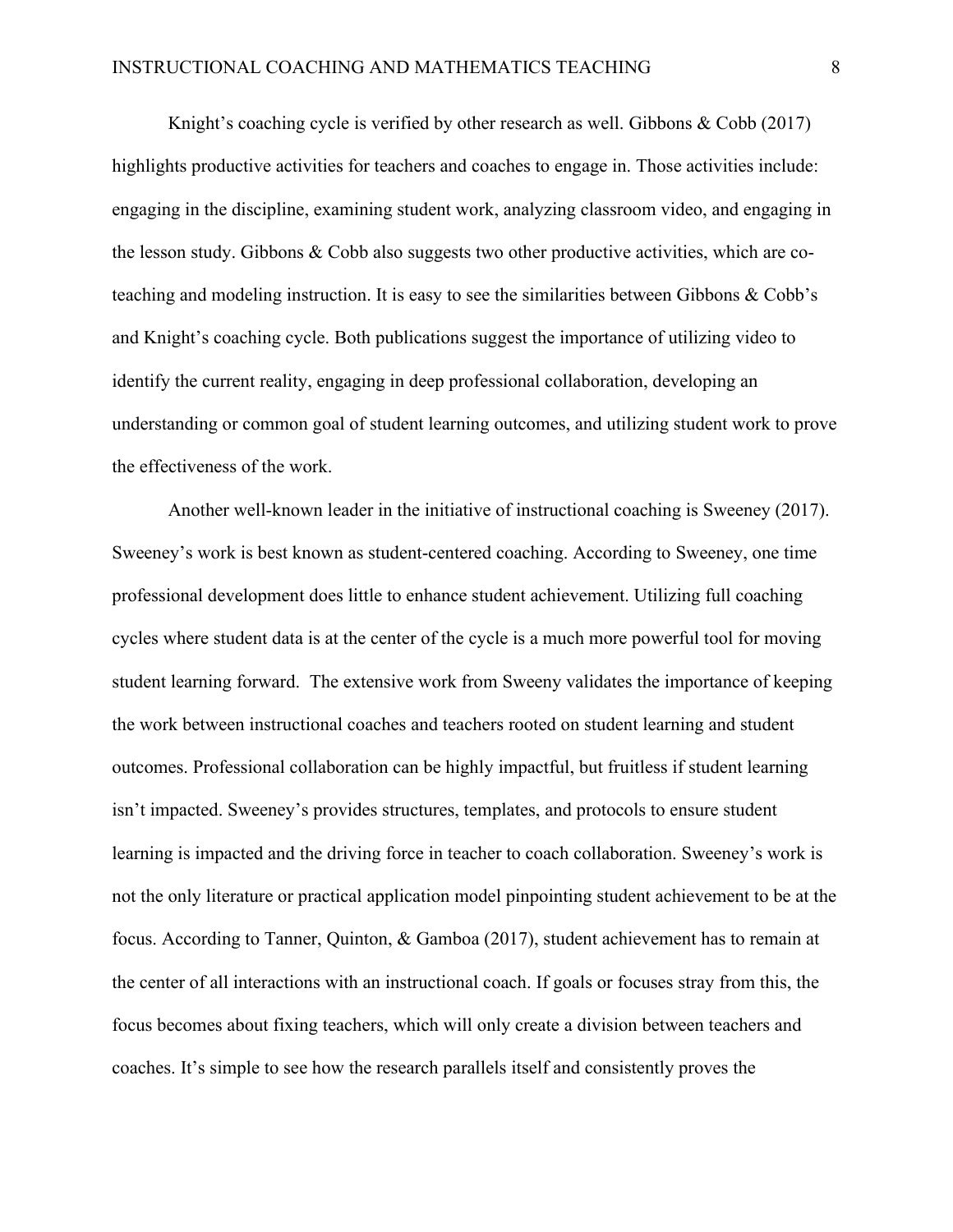Knight's coaching cycle is verified by other research as well. Gibbons & Cobb (2017) highlights productive activities for teachers and coaches to engage in. Those activities include: engaging in the discipline, examining student work, analyzing classroom video, and engaging in the lesson study. Gibbons & Cobb also suggests two other productive activities, which are coteaching and modeling instruction. It is easy to see the similarities between Gibbons & Cobb's and Knight's coaching cycle. Both publications suggest the importance of utilizing video to identify the current reality, engaging in deep professional collaboration, developing an understanding or common goal of student learning outcomes, and utilizing student work to prove the effectiveness of the work.

Another well-known leader in the initiative of instructional coaching is Sweeney (2017). Sweeney's work is best known as student-centered coaching. According to Sweeney, one time professional development does little to enhance student achievement. Utilizing full coaching cycles where student data is at the center of the cycle is a much more powerful tool for moving student learning forward. The extensive work from Sweeny validates the importance of keeping the work between instructional coaches and teachers rooted on student learning and student outcomes. Professional collaboration can be highly impactful, but fruitless if student learning isn't impacted. Sweeney's provides structures, templates, and protocols to ensure student learning is impacted and the driving force in teacher to coach collaboration. Sweeney's work is not the only literature or practical application model pinpointing student achievement to be at the focus. According to Tanner, Quinton, & Gamboa (2017), student achievement has to remain at the center of all interactions with an instructional coach. If goals or focuses stray from this, the focus becomes about fixing teachers, which will only create a division between teachers and coaches. It's simple to see how the research parallels itself and consistently proves the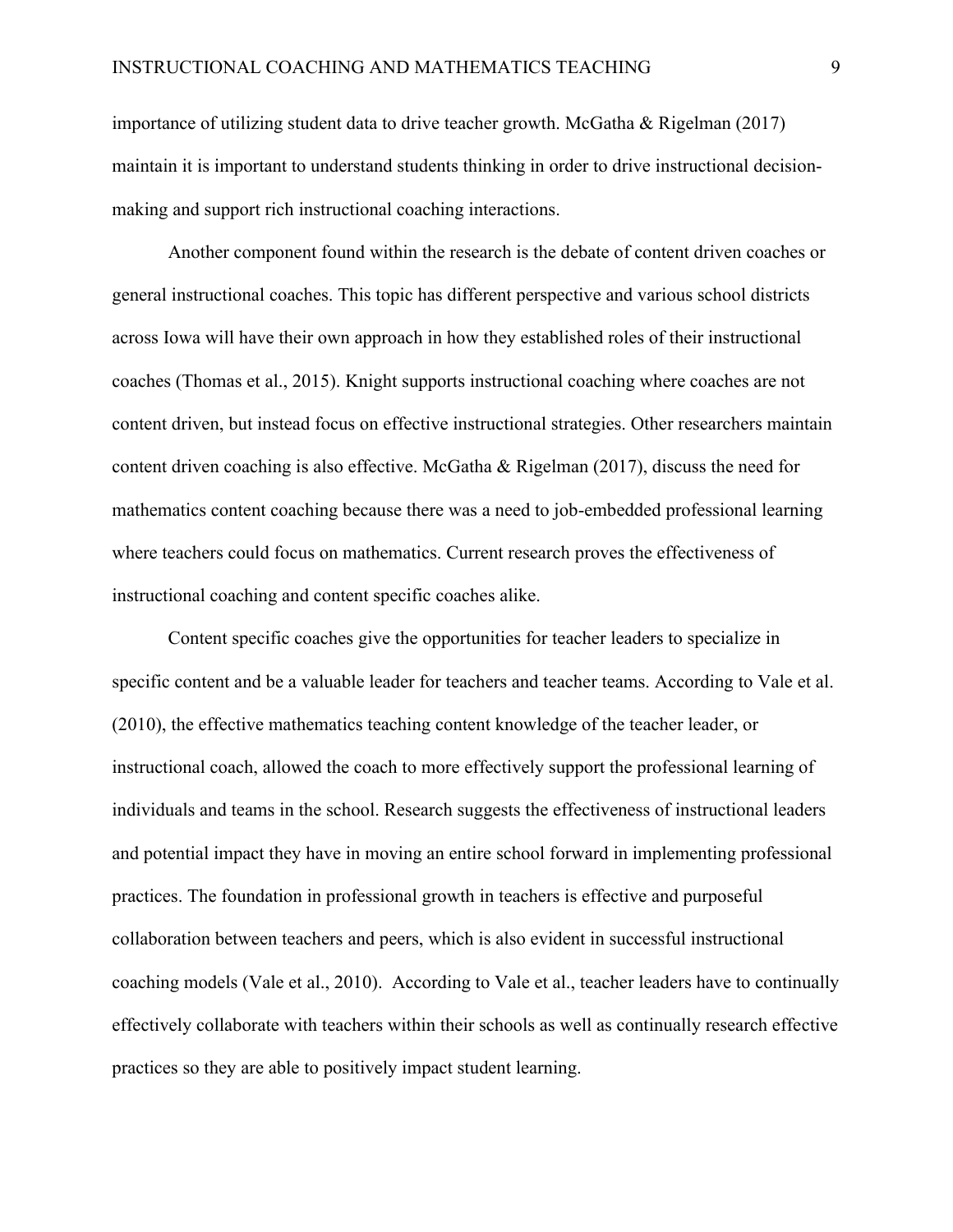importance of utilizing student data to drive teacher growth. McGatha & Rigelman (2017) maintain it is important to understand students thinking in order to drive instructional decisionmaking and support rich instructional coaching interactions.

Another component found within the research is the debate of content driven coaches or general instructional coaches. This topic has different perspective and various school districts across Iowa will have their own approach in how they established roles of their instructional coaches (Thomas et al., 2015). Knight supports instructional coaching where coaches are not content driven, but instead focus on effective instructional strategies. Other researchers maintain content driven coaching is also effective. McGatha & Rigelman (2017), discuss the need for mathematics content coaching because there was a need to job-embedded professional learning where teachers could focus on mathematics. Current research proves the effectiveness of instructional coaching and content specific coaches alike.

Content specific coaches give the opportunities for teacher leaders to specialize in specific content and be a valuable leader for teachers and teacher teams. According to Vale et al. (2010), the effective mathematics teaching content knowledge of the teacher leader, or instructional coach, allowed the coach to more effectively support the professional learning of individuals and teams in the school. Research suggests the effectiveness of instructional leaders and potential impact they have in moving an entire school forward in implementing professional practices. The foundation in professional growth in teachers is effective and purposeful collaboration between teachers and peers, which is also evident in successful instructional coaching models (Vale et al., 2010). According to Vale et al., teacher leaders have to continually effectively collaborate with teachers within their schools as well as continually research effective practices so they are able to positively impact student learning.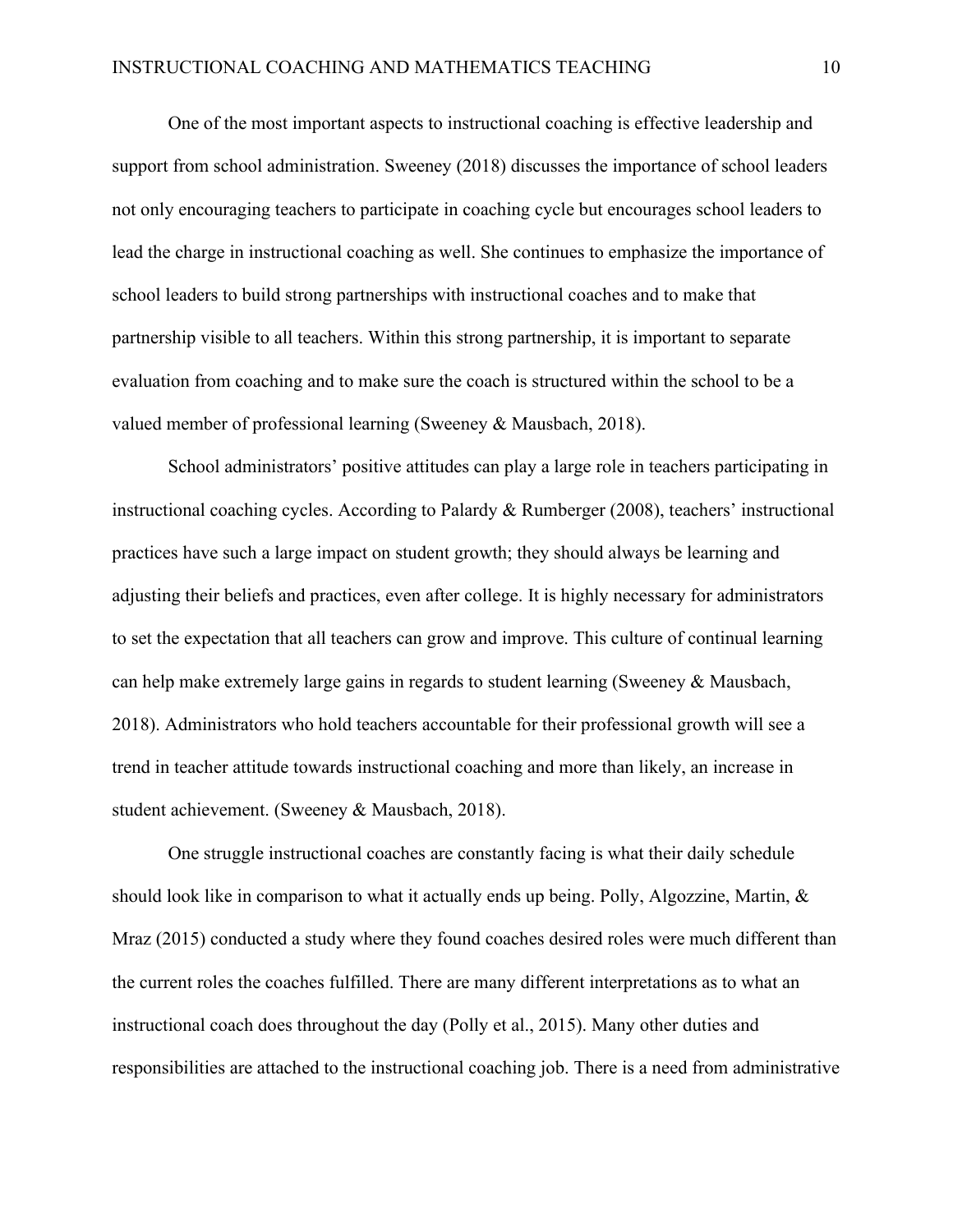One of the most important aspects to instructional coaching is effective leadership and support from school administration. Sweeney (2018) discusses the importance of school leaders not only encouraging teachers to participate in coaching cycle but encourages school leaders to lead the charge in instructional coaching as well. She continues to emphasize the importance of school leaders to build strong partnerships with instructional coaches and to make that partnership visible to all teachers. Within this strong partnership, it is important to separate evaluation from coaching and to make sure the coach is structured within the school to be a valued member of professional learning (Sweeney & Mausbach, 2018).

School administrators' positive attitudes can play a large role in teachers participating in instructional coaching cycles. According to Palardy & Rumberger (2008), teachers' instructional practices have such a large impact on student growth; they should always be learning and adjusting their beliefs and practices, even after college. It is highly necessary for administrators to set the expectation that all teachers can grow and improve. This culture of continual learning can help make extremely large gains in regards to student learning (Sweeney & Mausbach, 2018). Administrators who hold teachers accountable for their professional growth will see a trend in teacher attitude towards instructional coaching and more than likely, an increase in student achievement. (Sweeney & Mausbach, 2018).

One struggle instructional coaches are constantly facing is what their daily schedule should look like in comparison to what it actually ends up being. Polly, Algozzine, Martin,  $\&$ Mraz (2015) conducted a study where they found coaches desired roles were much different than the current roles the coaches fulfilled. There are many different interpretations as to what an instructional coach does throughout the day (Polly et al., 2015). Many other duties and responsibilities are attached to the instructional coaching job. There is a need from administrative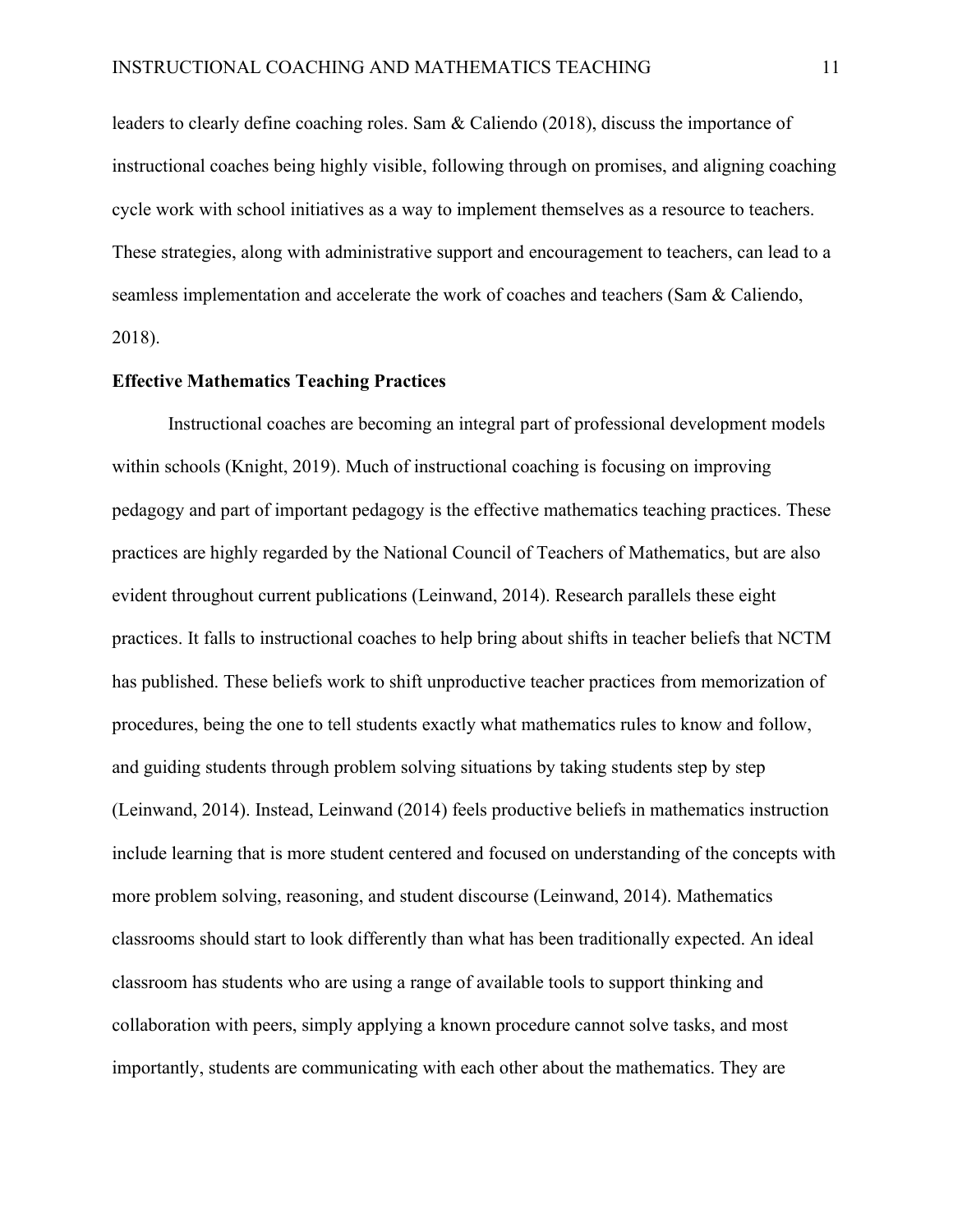leaders to clearly define coaching roles. Sam & Caliendo (2018), discuss the importance of instructional coaches being highly visible, following through on promises, and aligning coaching cycle work with school initiatives as a way to implement themselves as a resource to teachers. These strategies, along with administrative support and encouragement to teachers, can lead to a seamless implementation and accelerate the work of coaches and teachers (Sam & Caliendo, 2018).

#### **Effective Mathematics Teaching Practices**

Instructional coaches are becoming an integral part of professional development models within schools (Knight, 2019). Much of instructional coaching is focusing on improving pedagogy and part of important pedagogy is the effective mathematics teaching practices. These practices are highly regarded by the National Council of Teachers of Mathematics, but are also evident throughout current publications (Leinwand, 2014). Research parallels these eight practices. It falls to instructional coaches to help bring about shifts in teacher beliefs that NCTM has published. These beliefs work to shift unproductive teacher practices from memorization of procedures, being the one to tell students exactly what mathematics rules to know and follow, and guiding students through problem solving situations by taking students step by step (Leinwand, 2014). Instead, Leinwand (2014) feels productive beliefs in mathematics instruction include learning that is more student centered and focused on understanding of the concepts with more problem solving, reasoning, and student discourse (Leinwand, 2014). Mathematics classrooms should start to look differently than what has been traditionally expected. An ideal classroom has students who are using a range of available tools to support thinking and collaboration with peers, simply applying a known procedure cannot solve tasks, and most importantly, students are communicating with each other about the mathematics. They are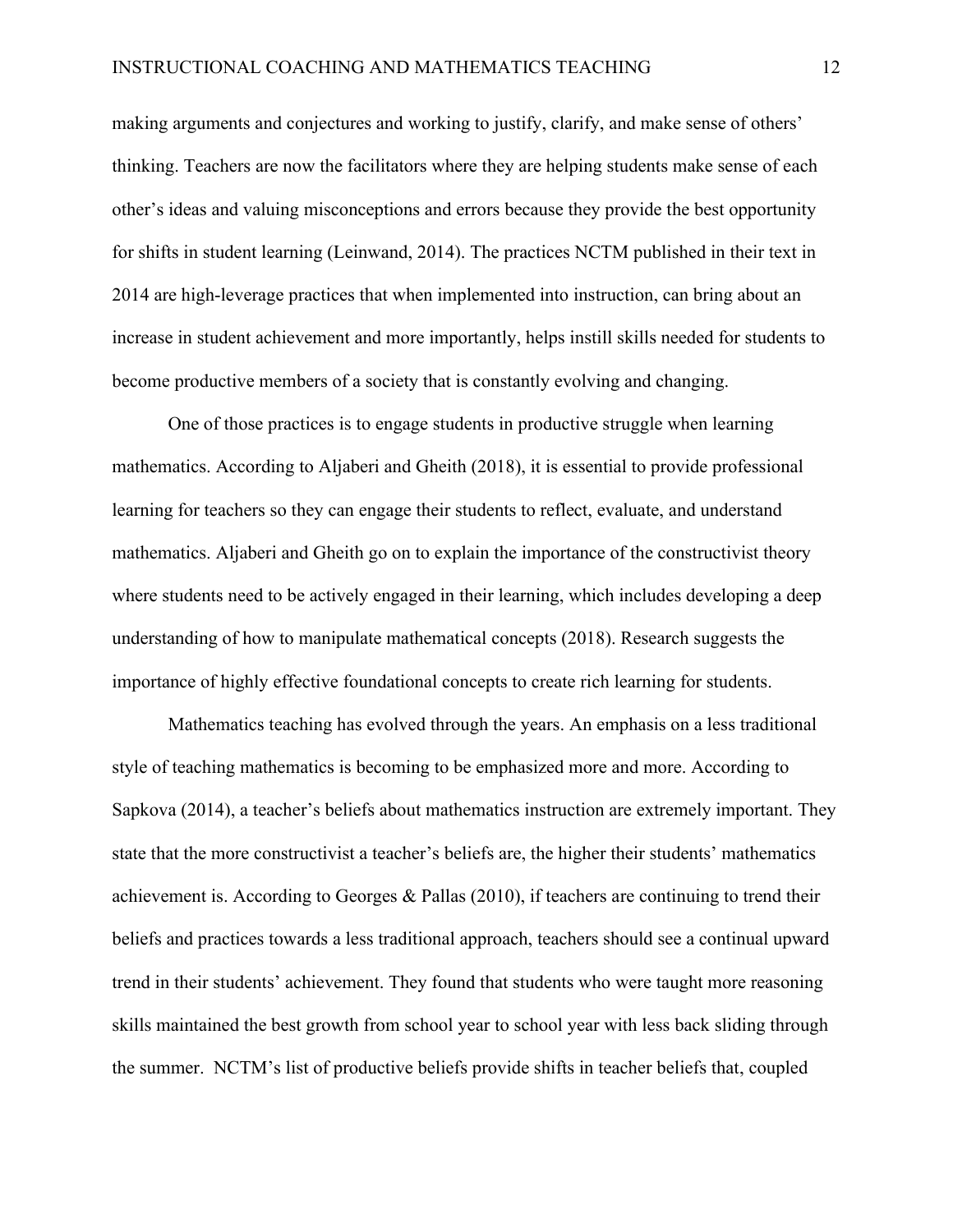making arguments and conjectures and working to justify, clarify, and make sense of others' thinking. Teachers are now the facilitators where they are helping students make sense of each other's ideas and valuing misconceptions and errors because they provide the best opportunity for shifts in student learning (Leinwand, 2014). The practices NCTM published in their text in 2014 are high-leverage practices that when implemented into instruction, can bring about an increase in student achievement and more importantly, helps instill skills needed for students to become productive members of a society that is constantly evolving and changing.

One of those practices is to engage students in productive struggle when learning mathematics. According to Aljaberi and Gheith (2018), it is essential to provide professional learning for teachers so they can engage their students to reflect, evaluate, and understand mathematics. Aljaberi and Gheith go on to explain the importance of the constructivist theory where students need to be actively engaged in their learning, which includes developing a deep understanding of how to manipulate mathematical concepts (2018). Research suggests the importance of highly effective foundational concepts to create rich learning for students.

Mathematics teaching has evolved through the years. An emphasis on a less traditional style of teaching mathematics is becoming to be emphasized more and more. According to Sapkova (2014), a teacher's beliefs about mathematics instruction are extremely important. They state that the more constructivist a teacher's beliefs are, the higher their students' mathematics achievement is. According to Georges & Pallas (2010), if teachers are continuing to trend their beliefs and practices towards a less traditional approach, teachers should see a continual upward trend in their students' achievement. They found that students who were taught more reasoning skills maintained the best growth from school year to school year with less back sliding through the summer. NCTM's list of productive beliefs provide shifts in teacher beliefs that, coupled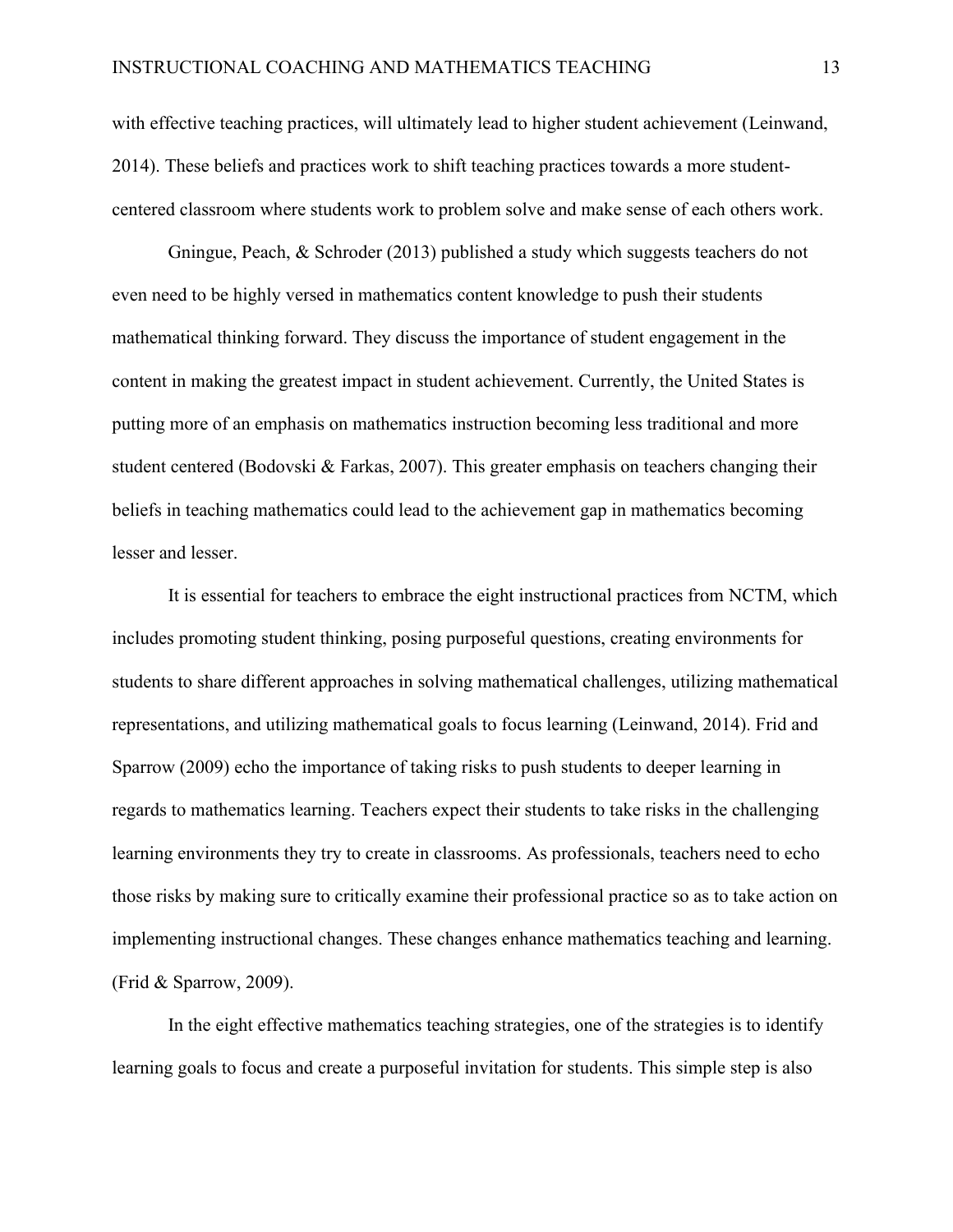with effective teaching practices, will ultimately lead to higher student achievement (Leinwand, 2014). These beliefs and practices work to shift teaching practices towards a more studentcentered classroom where students work to problem solve and make sense of each others work.

Gningue, Peach, & Schroder (2013) published a study which suggests teachers do not even need to be highly versed in mathematics content knowledge to push their students mathematical thinking forward. They discuss the importance of student engagement in the content in making the greatest impact in student achievement. Currently, the United States is putting more of an emphasis on mathematics instruction becoming less traditional and more student centered (Bodovski & Farkas, 2007). This greater emphasis on teachers changing their beliefs in teaching mathematics could lead to the achievement gap in mathematics becoming lesser and lesser.

It is essential for teachers to embrace the eight instructional practices from NCTM, which includes promoting student thinking, posing purposeful questions, creating environments for students to share different approaches in solving mathematical challenges, utilizing mathematical representations, and utilizing mathematical goals to focus learning (Leinwand, 2014). Frid and Sparrow (2009) echo the importance of taking risks to push students to deeper learning in regards to mathematics learning. Teachers expect their students to take risks in the challenging learning environments they try to create in classrooms. As professionals, teachers need to echo those risks by making sure to critically examine their professional practice so as to take action on implementing instructional changes. These changes enhance mathematics teaching and learning. (Frid & Sparrow, 2009).

In the eight effective mathematics teaching strategies, one of the strategies is to identify learning goals to focus and create a purposeful invitation for students. This simple step is also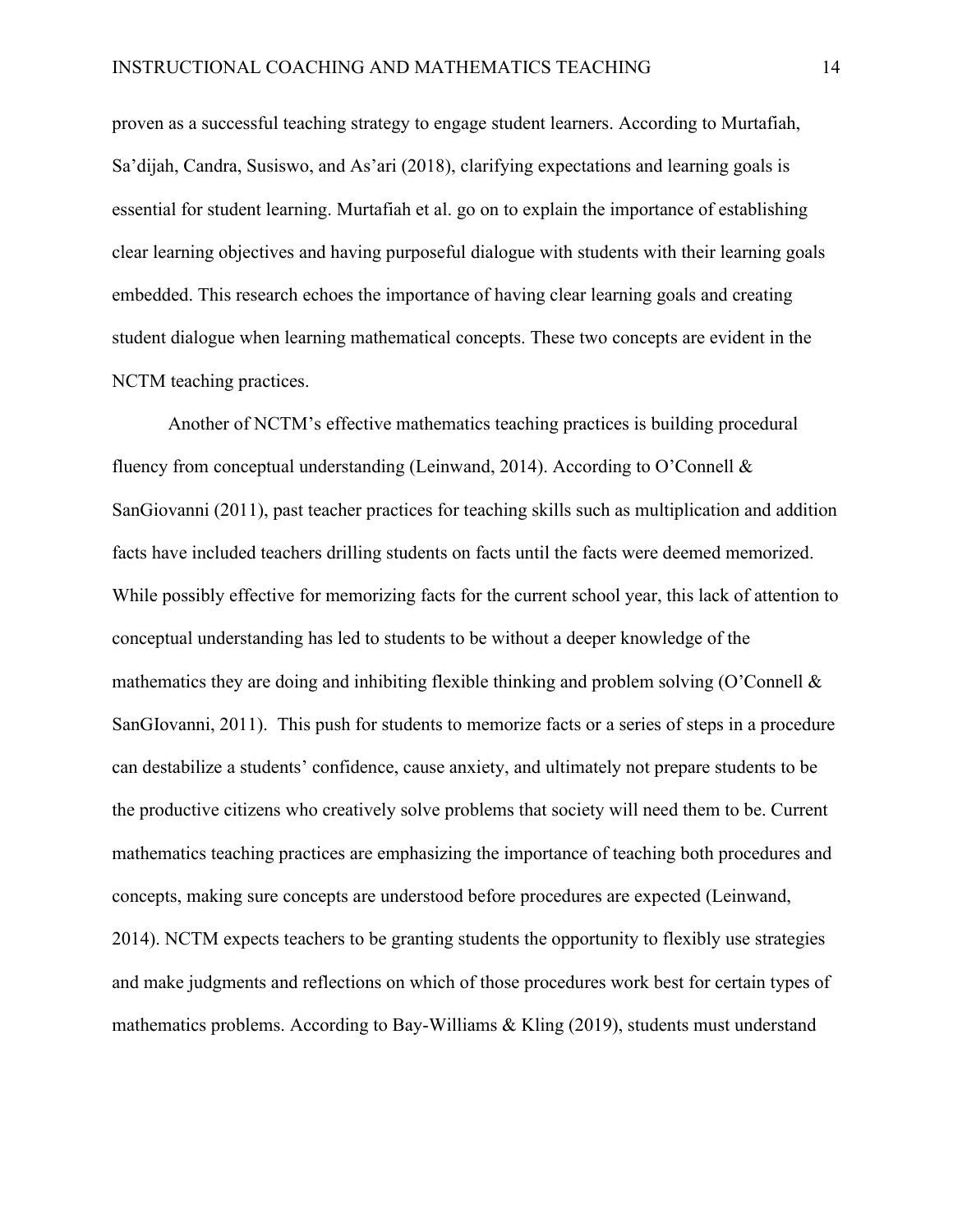proven as a successful teaching strategy to engage student learners. According to Murtafiah, Sa'dijah, Candra, Susiswo, and As'ari (2018), clarifying expectations and learning goals is essential for student learning. Murtafiah et al. go on to explain the importance of establishing clear learning objectives and having purposeful dialogue with students with their learning goals embedded. This research echoes the importance of having clear learning goals and creating student dialogue when learning mathematical concepts. These two concepts are evident in the NCTM teaching practices.

Another of NCTM's effective mathematics teaching practices is building procedural fluency from conceptual understanding (Leinwand, 2014). According to O'Connell & SanGiovanni (2011), past teacher practices for teaching skills such as multiplication and addition facts have included teachers drilling students on facts until the facts were deemed memorized. While possibly effective for memorizing facts for the current school year, this lack of attention to conceptual understanding has led to students to be without a deeper knowledge of the mathematics they are doing and inhibiting flexible thinking and problem solving (O'Connell  $\&$ SanGIovanni, 2011). This push for students to memorize facts or a series of steps in a procedure can destabilize a students' confidence, cause anxiety, and ultimately not prepare students to be the productive citizens who creatively solve problems that society will need them to be. Current mathematics teaching practices are emphasizing the importance of teaching both procedures and concepts, making sure concepts are understood before procedures are expected (Leinwand, 2014). NCTM expects teachers to be granting students the opportunity to flexibly use strategies and make judgments and reflections on which of those procedures work best for certain types of mathematics problems. According to Bay-Williams & Kling (2019), students must understand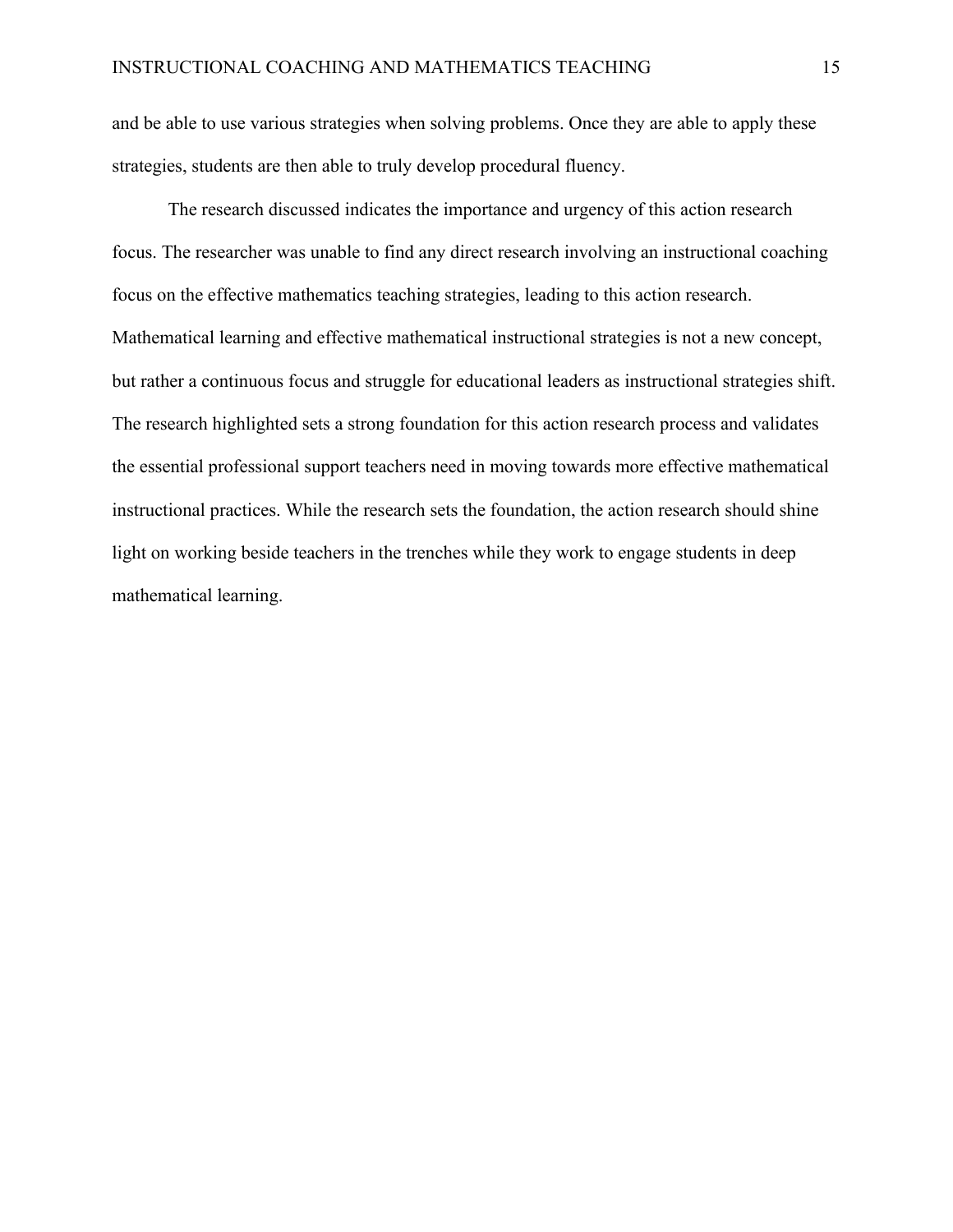and be able to use various strategies when solving problems. Once they are able to apply these strategies, students are then able to truly develop procedural fluency.

The research discussed indicates the importance and urgency of this action research focus. The researcher was unable to find any direct research involving an instructional coaching focus on the effective mathematics teaching strategies, leading to this action research. Mathematical learning and effective mathematical instructional strategies is not a new concept, but rather a continuous focus and struggle for educational leaders as instructional strategies shift. The research highlighted sets a strong foundation for this action research process and validates the essential professional support teachers need in moving towards more effective mathematical instructional practices. While the research sets the foundation, the action research should shine light on working beside teachers in the trenches while they work to engage students in deep mathematical learning.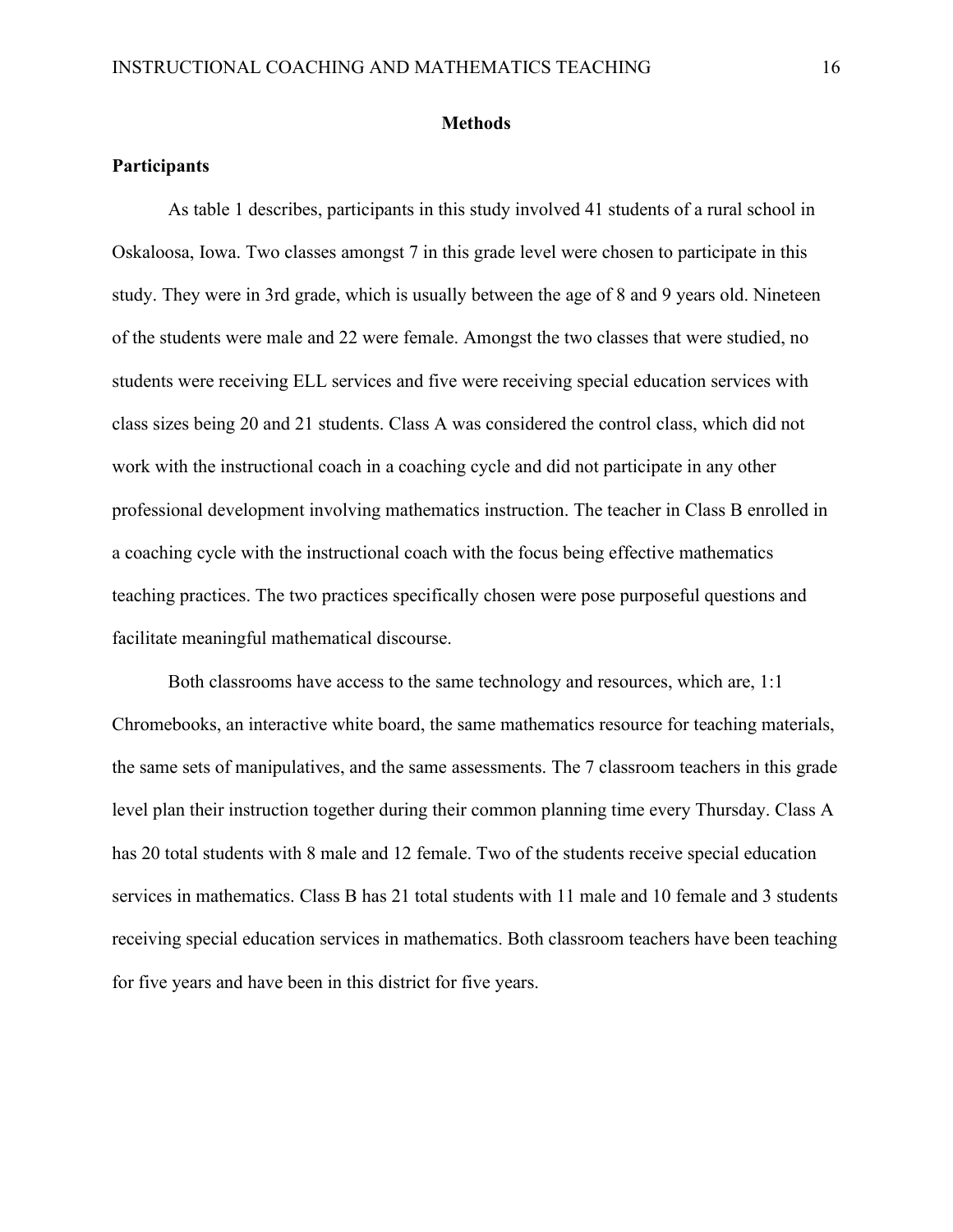#### **Methods**

# **Participants**

As table 1 describes, participants in this study involved 41 students of a rural school in Oskaloosa, Iowa. Two classes amongst 7 in this grade level were chosen to participate in this study. They were in 3rd grade, which is usually between the age of 8 and 9 years old. Nineteen of the students were male and 22 were female. Amongst the two classes that were studied, no students were receiving ELL services and five were receiving special education services with class sizes being 20 and 21 students. Class A was considered the control class, which did not work with the instructional coach in a coaching cycle and did not participate in any other professional development involving mathematics instruction. The teacher in Class B enrolled in a coaching cycle with the instructional coach with the focus being effective mathematics teaching practices. The two practices specifically chosen were pose purposeful questions and facilitate meaningful mathematical discourse.

Both classrooms have access to the same technology and resources, which are, 1:1 Chromebooks, an interactive white board, the same mathematics resource for teaching materials, the same sets of manipulatives, and the same assessments. The 7 classroom teachers in this grade level plan their instruction together during their common planning time every Thursday. Class A has 20 total students with 8 male and 12 female. Two of the students receive special education services in mathematics. Class B has 21 total students with 11 male and 10 female and 3 students receiving special education services in mathematics. Both classroom teachers have been teaching for five years and have been in this district for five years.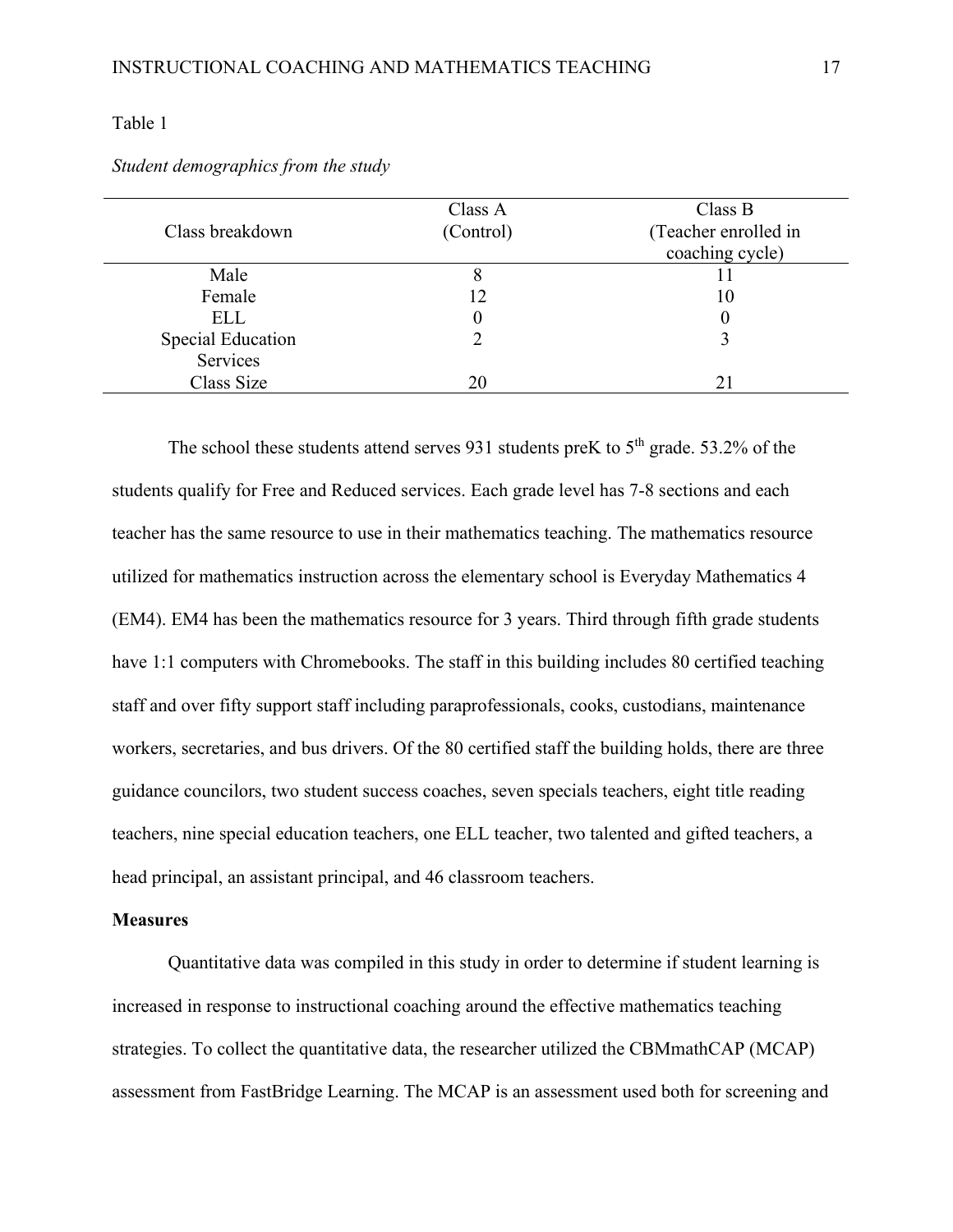# Table 1

|                          | Class A   | Class B              |
|--------------------------|-----------|----------------------|
| Class breakdown          | (Control) | (Teacher enrolled in |
|                          |           | coaching cycle)      |
| Male                     |           |                      |
| Female                   | 12        | 10                   |
| ELL                      |           | U                    |
| <b>Special Education</b> |           |                      |
| Services                 |           |                      |
| Class Size               | 20        | 21                   |
|                          |           |                      |

*Student demographics from the study*

The school these students attend serves 931 students preK to  $5<sup>th</sup>$  grade. 53.2% of the students qualify for Free and Reduced services. Each grade level has 7-8 sections and each teacher has the same resource to use in their mathematics teaching. The mathematics resource utilized for mathematics instruction across the elementary school is Everyday Mathematics 4 (EM4). EM4 has been the mathematics resource for 3 years. Third through fifth grade students have 1:1 computers with Chromebooks. The staff in this building includes 80 certified teaching staff and over fifty support staff including paraprofessionals, cooks, custodians, maintenance workers, secretaries, and bus drivers. Of the 80 certified staff the building holds, there are three guidance councilors, two student success coaches, seven specials teachers, eight title reading teachers, nine special education teachers, one ELL teacher, two talented and gifted teachers, a head principal, an assistant principal, and 46 classroom teachers.

# **Measures**

Quantitative data was compiled in this study in order to determine if student learning is increased in response to instructional coaching around the effective mathematics teaching strategies. To collect the quantitative data, the researcher utilized the CBMmathCAP (MCAP) assessment from FastBridge Learning. The MCAP is an assessment used both for screening and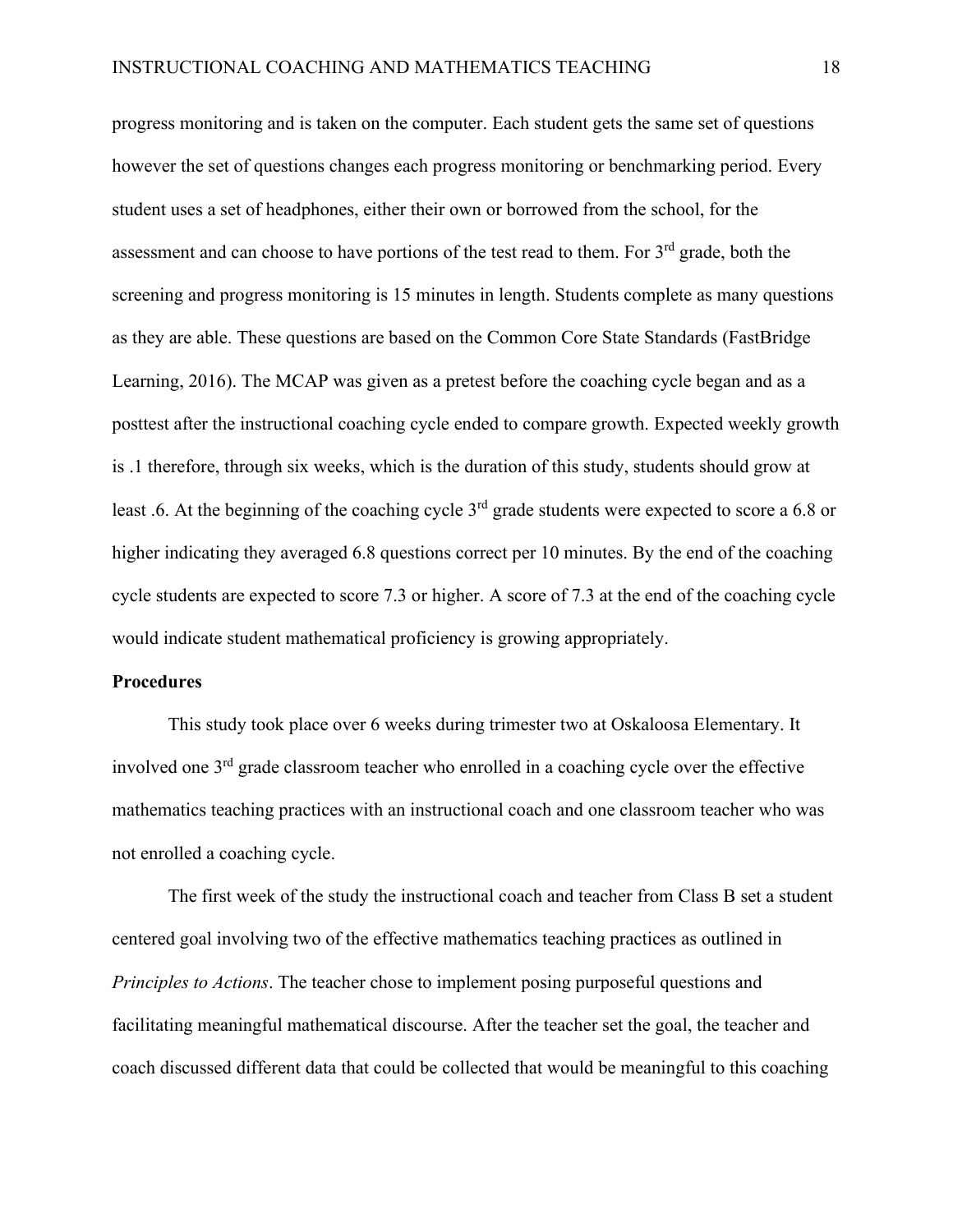progress monitoring and is taken on the computer. Each student gets the same set of questions however the set of questions changes each progress monitoring or benchmarking period. Every student uses a set of headphones, either their own or borrowed from the school, for the assessment and can choose to have portions of the test read to them. For 3<sup>rd</sup> grade, both the screening and progress monitoring is 15 minutes in length. Students complete as many questions as they are able. These questions are based on the Common Core State Standards (FastBridge Learning, 2016). The MCAP was given as a pretest before the coaching cycle began and as a posttest after the instructional coaching cycle ended to compare growth. Expected weekly growth is .1 therefore, through six weeks, which is the duration of this study, students should grow at least .6. At the beginning of the coaching cycle 3<sup>rd</sup> grade students were expected to score a 6.8 or higher indicating they averaged 6.8 questions correct per 10 minutes. By the end of the coaching cycle students are expected to score 7.3 or higher. A score of 7.3 at the end of the coaching cycle would indicate student mathematical proficiency is growing appropriately.

#### **Procedures**

This study took place over 6 weeks during trimester two at Oskaloosa Elementary. It involved one 3rd grade classroom teacher who enrolled in a coaching cycle over the effective mathematics teaching practices with an instructional coach and one classroom teacher who was not enrolled a coaching cycle.

The first week of the study the instructional coach and teacher from Class B set a student centered goal involving two of the effective mathematics teaching practices as outlined in *Principles to Actions*. The teacher chose to implement posing purposeful questions and facilitating meaningful mathematical discourse. After the teacher set the goal, the teacher and coach discussed different data that could be collected that would be meaningful to this coaching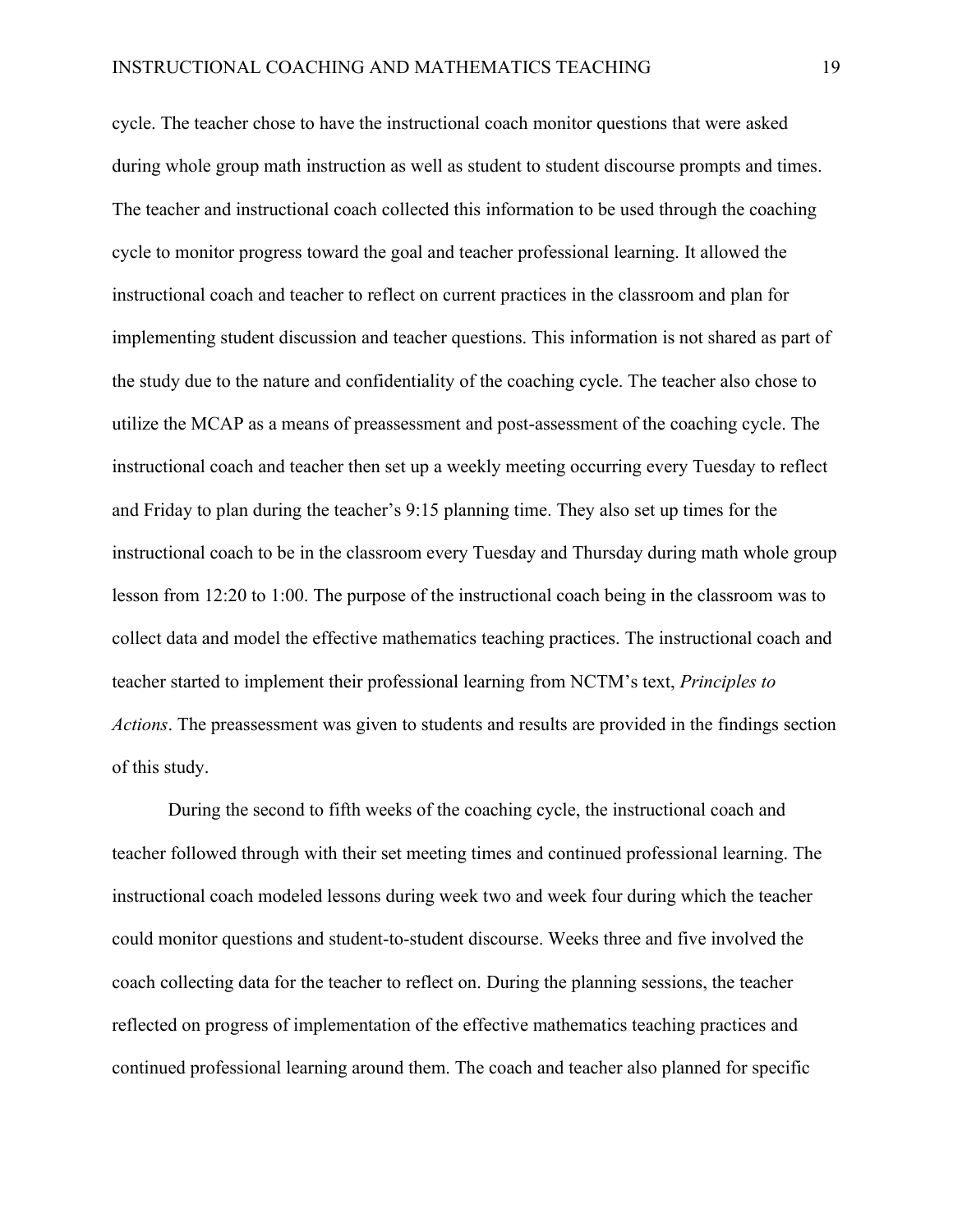cycle. The teacher chose to have the instructional coach monitor questions that were asked during whole group math instruction as well as student to student discourse prompts and times. The teacher and instructional coach collected this information to be used through the coaching cycle to monitor progress toward the goal and teacher professional learning. It allowed the instructional coach and teacher to reflect on current practices in the classroom and plan for implementing student discussion and teacher questions. This information is not shared as part of the study due to the nature and confidentiality of the coaching cycle. The teacher also chose to utilize the MCAP as a means of preassessment and post-assessment of the coaching cycle. The instructional coach and teacher then set up a weekly meeting occurring every Tuesday to reflect and Friday to plan during the teacher's 9:15 planning time. They also set up times for the instructional coach to be in the classroom every Tuesday and Thursday during math whole group lesson from 12:20 to 1:00. The purpose of the instructional coach being in the classroom was to collect data and model the effective mathematics teaching practices. The instructional coach and teacher started to implement their professional learning from NCTM's text, *Principles to Actions*. The preassessment was given to students and results are provided in the findings section of this study.

During the second to fifth weeks of the coaching cycle, the instructional coach and teacher followed through with their set meeting times and continued professional learning. The instructional coach modeled lessons during week two and week four during which the teacher could monitor questions and student-to-student discourse. Weeks three and five involved the coach collecting data for the teacher to reflect on. During the planning sessions, the teacher reflected on progress of implementation of the effective mathematics teaching practices and continued professional learning around them. The coach and teacher also planned for specific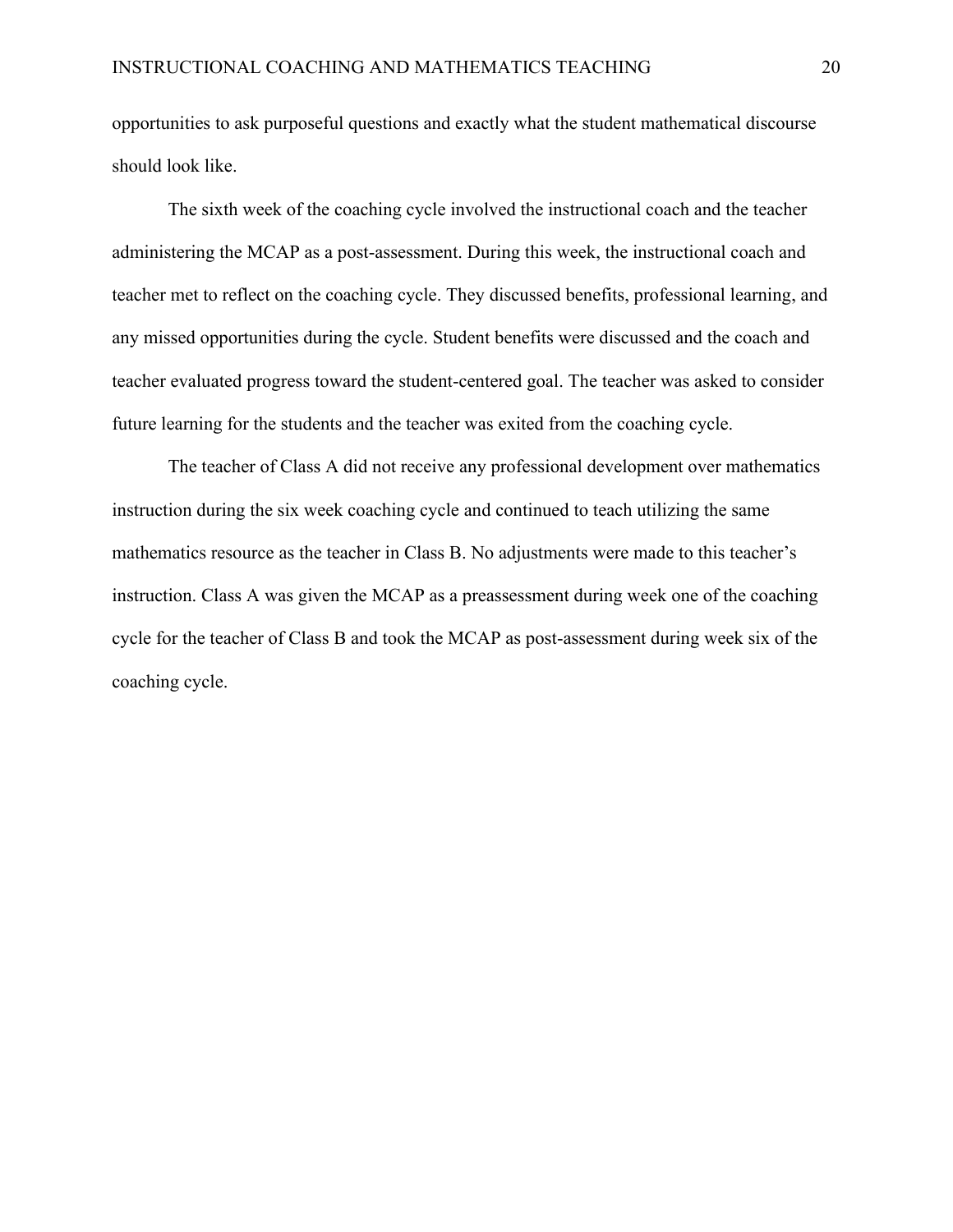opportunities to ask purposeful questions and exactly what the student mathematical discourse should look like.

The sixth week of the coaching cycle involved the instructional coach and the teacher administering the MCAP as a post-assessment. During this week, the instructional coach and teacher met to reflect on the coaching cycle. They discussed benefits, professional learning, and any missed opportunities during the cycle. Student benefits were discussed and the coach and teacher evaluated progress toward the student-centered goal. The teacher was asked to consider future learning for the students and the teacher was exited from the coaching cycle.

The teacher of Class A did not receive any professional development over mathematics instruction during the six week coaching cycle and continued to teach utilizing the same mathematics resource as the teacher in Class B. No adjustments were made to this teacher's instruction. Class A was given the MCAP as a preassessment during week one of the coaching cycle for the teacher of Class B and took the MCAP as post-assessment during week six of the coaching cycle.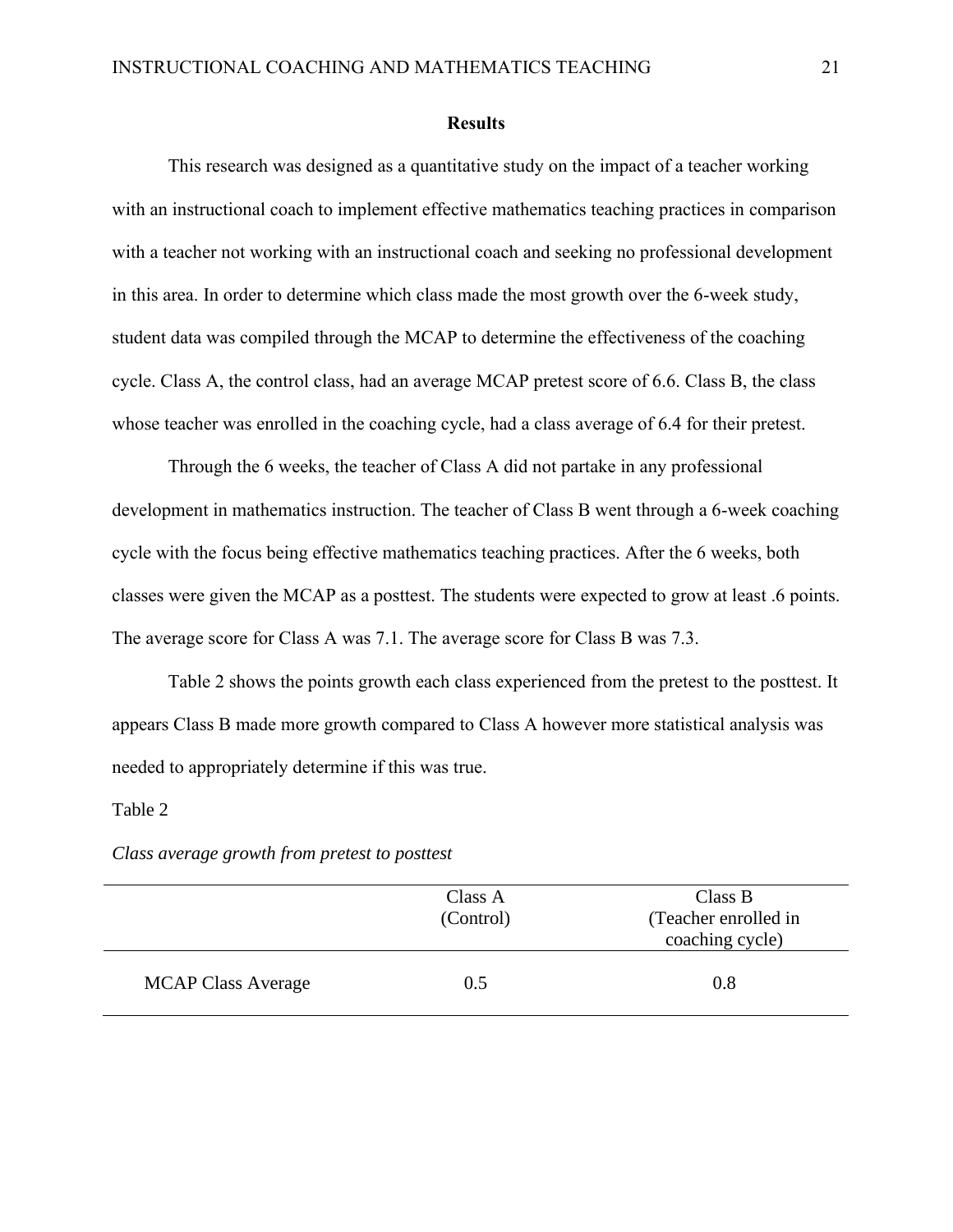#### **Results**

This research was designed as a quantitative study on the impact of a teacher working with an instructional coach to implement effective mathematics teaching practices in comparison with a teacher not working with an instructional coach and seeking no professional development in this area. In order to determine which class made the most growth over the 6-week study, student data was compiled through the MCAP to determine the effectiveness of the coaching cycle. Class A, the control class, had an average MCAP pretest score of 6.6. Class B, the class whose teacher was enrolled in the coaching cycle, had a class average of 6.4 for their pretest.

Through the 6 weeks, the teacher of Class A did not partake in any professional development in mathematics instruction. The teacher of Class B went through a 6-week coaching cycle with the focus being effective mathematics teaching practices. After the 6 weeks, both classes were given the MCAP as a posttest. The students were expected to grow at least .6 points. The average score for Class A was 7.1. The average score for Class B was 7.3.

Table 2 shows the points growth each class experienced from the pretest to the posttest. It appears Class B made more growth compared to Class A however more statistical analysis was needed to appropriately determine if this was true.

#### Table 2

|                           | Class A<br>(Control) | Class B<br>(Teacher enrolled in<br>coaching cycle) |
|---------------------------|----------------------|----------------------------------------------------|
| <b>MCAP Class Average</b> | 0.5                  | 0.8                                                |

*Class average growth from pretest to posttest*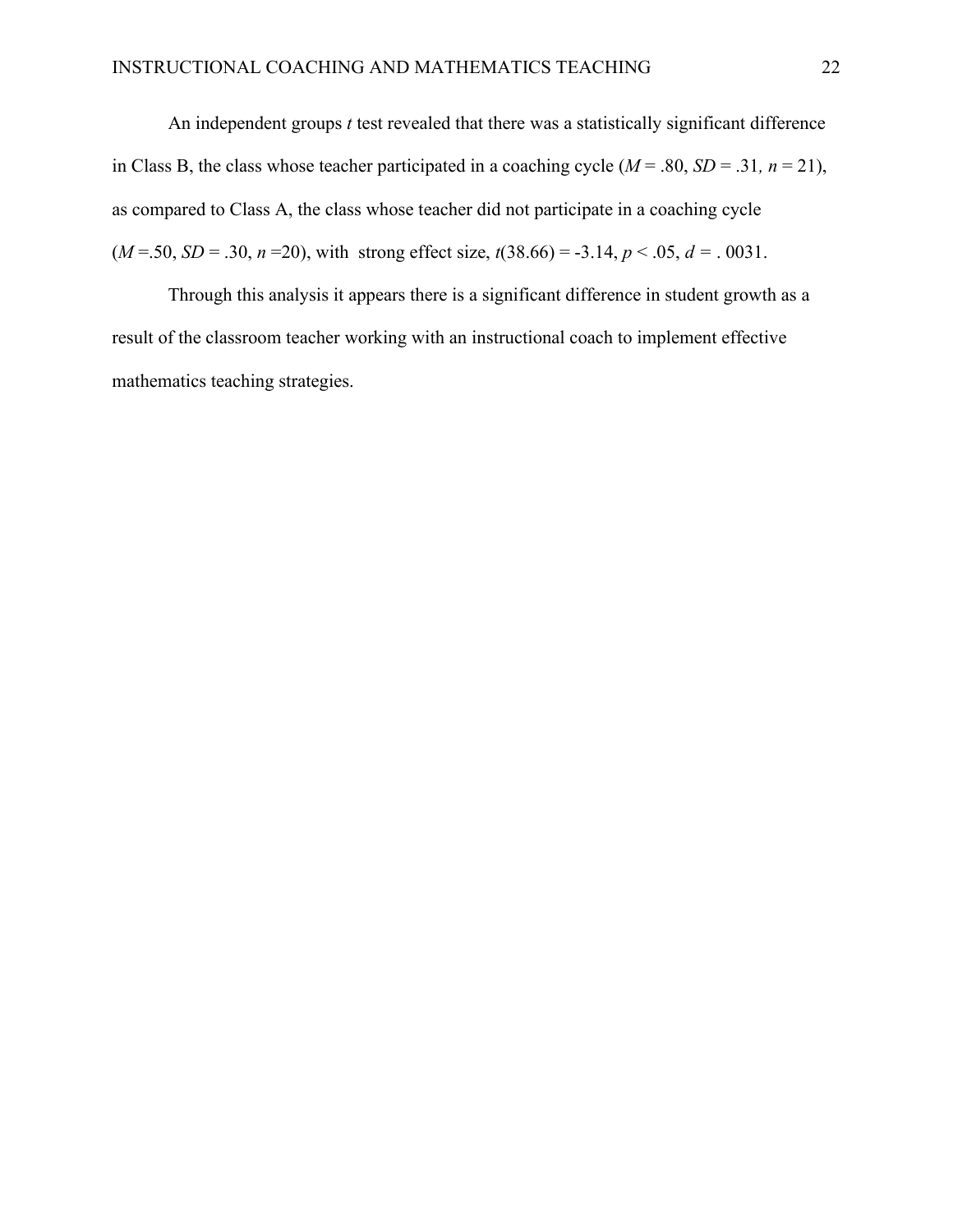An independent groups *t* test revealed that there was a statistically significant difference in Class B, the class whose teacher participated in a coaching cycle  $(M = .80, SD = .31, n = 21)$ , as compared to Class A, the class whose teacher did not participate in a coaching cycle  $(M = .50, SD = .30, n = 20)$ , with strong effect size,  $t(38.66) = -3.14, p < .05, d = .0031$ .

Through this analysis it appears there is a significant difference in student growth as a result of the classroom teacher working with an instructional coach to implement effective mathematics teaching strategies.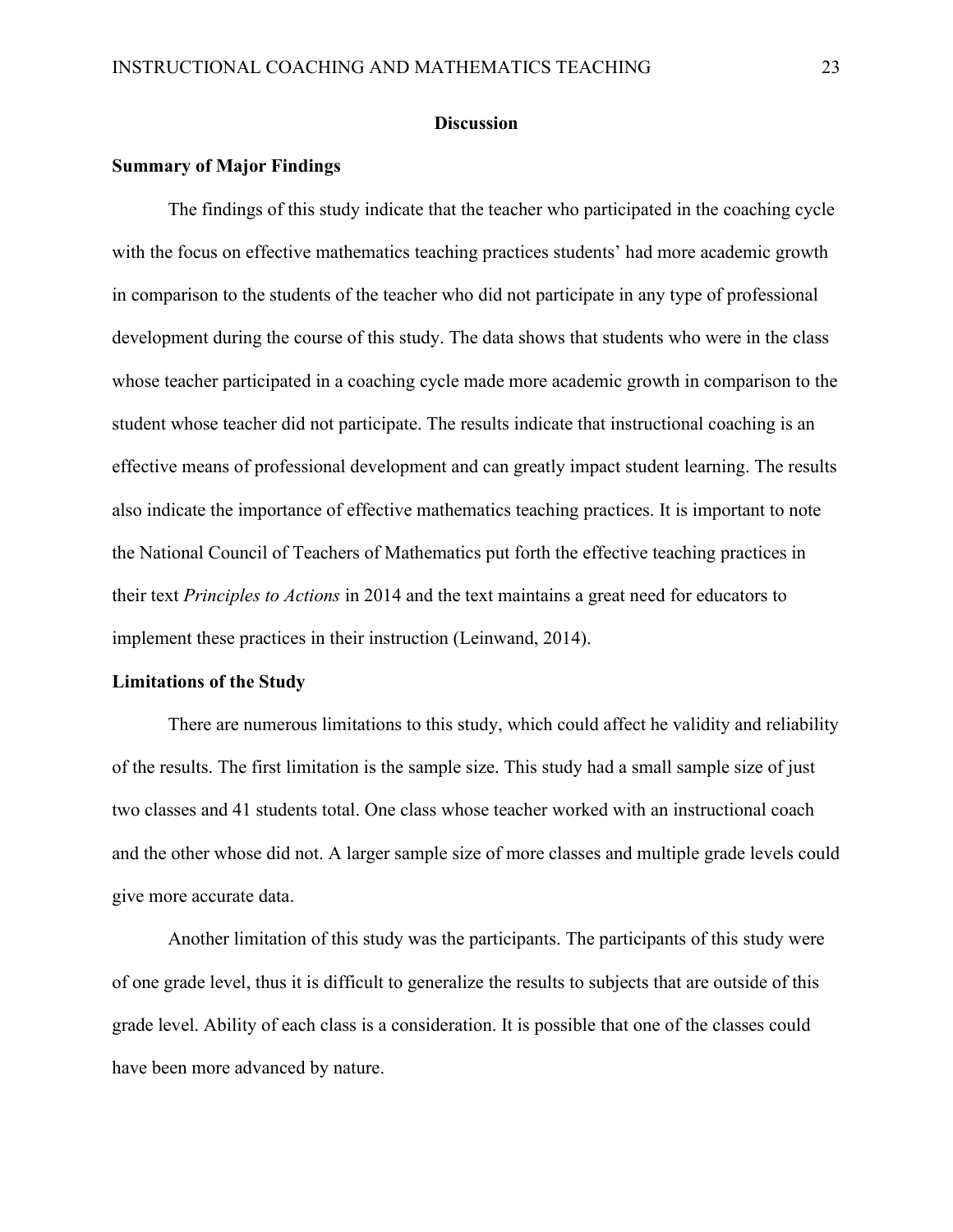#### **Discussion**

#### **Summary of Major Findings**

The findings of this study indicate that the teacher who participated in the coaching cycle with the focus on effective mathematics teaching practices students' had more academic growth in comparison to the students of the teacher who did not participate in any type of professional development during the course of this study. The data shows that students who were in the class whose teacher participated in a coaching cycle made more academic growth in comparison to the student whose teacher did not participate. The results indicate that instructional coaching is an effective means of professional development and can greatly impact student learning. The results also indicate the importance of effective mathematics teaching practices. It is important to note the National Council of Teachers of Mathematics put forth the effective teaching practices in their text *Principles to Actions* in 2014 and the text maintains a great need for educators to implement these practices in their instruction (Leinwand, 2014).

#### **Limitations of the Study**

There are numerous limitations to this study, which could affect he validity and reliability of the results. The first limitation is the sample size. This study had a small sample size of just two classes and 41 students total. One class whose teacher worked with an instructional coach and the other whose did not. A larger sample size of more classes and multiple grade levels could give more accurate data.

Another limitation of this study was the participants. The participants of this study were of one grade level, thus it is difficult to generalize the results to subjects that are outside of this grade level. Ability of each class is a consideration. It is possible that one of the classes could have been more advanced by nature.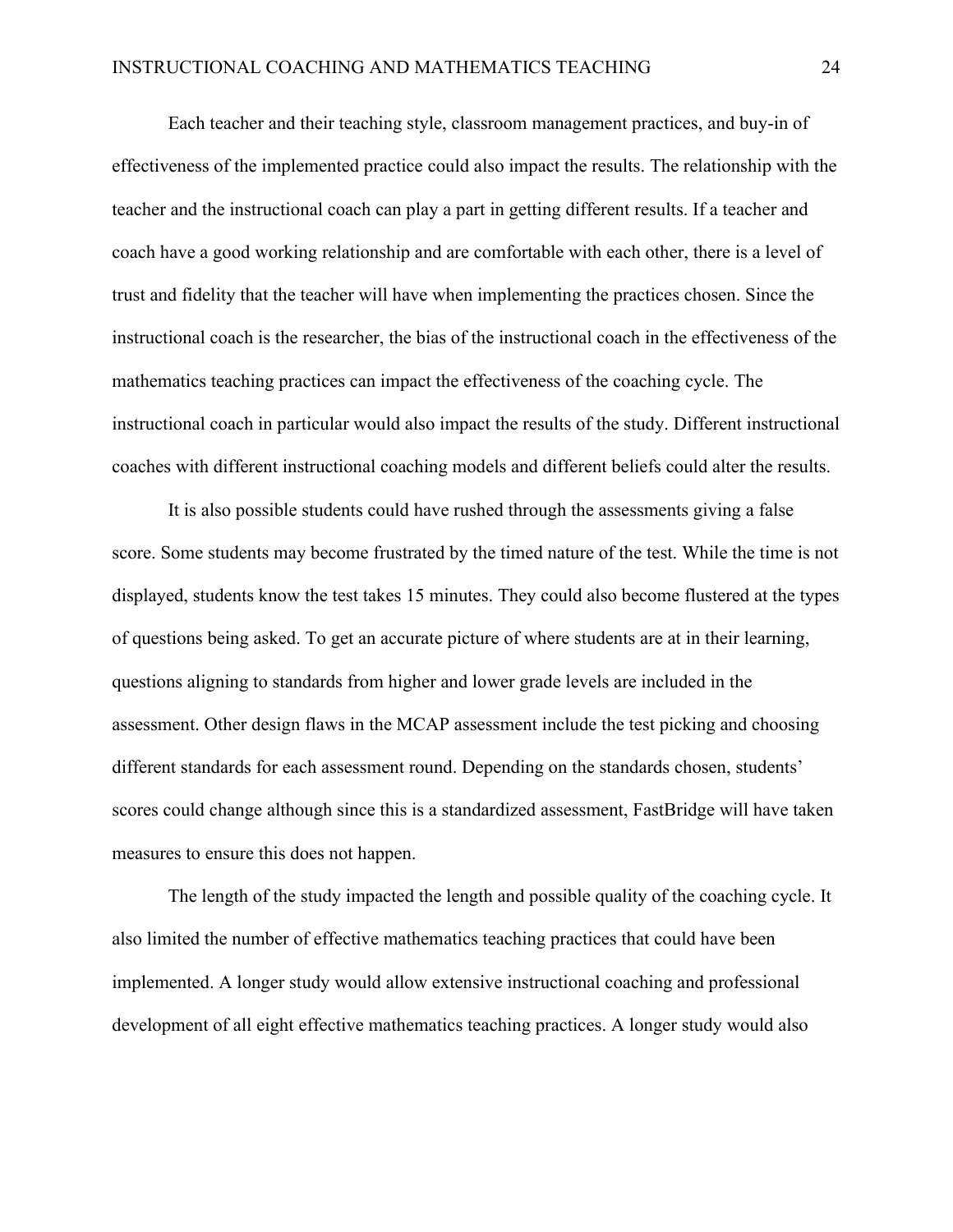Each teacher and their teaching style, classroom management practices, and buy-in of effectiveness of the implemented practice could also impact the results. The relationship with the teacher and the instructional coach can play a part in getting different results. If a teacher and coach have a good working relationship and are comfortable with each other, there is a level of trust and fidelity that the teacher will have when implementing the practices chosen. Since the instructional coach is the researcher, the bias of the instructional coach in the effectiveness of the mathematics teaching practices can impact the effectiveness of the coaching cycle. The instructional coach in particular would also impact the results of the study. Different instructional coaches with different instructional coaching models and different beliefs could alter the results.

It is also possible students could have rushed through the assessments giving a false score. Some students may become frustrated by the timed nature of the test. While the time is not displayed, students know the test takes 15 minutes. They could also become flustered at the types of questions being asked. To get an accurate picture of where students are at in their learning, questions aligning to standards from higher and lower grade levels are included in the assessment. Other design flaws in the MCAP assessment include the test picking and choosing different standards for each assessment round. Depending on the standards chosen, students' scores could change although since this is a standardized assessment, FastBridge will have taken measures to ensure this does not happen.

The length of the study impacted the length and possible quality of the coaching cycle. It also limited the number of effective mathematics teaching practices that could have been implemented. A longer study would allow extensive instructional coaching and professional development of all eight effective mathematics teaching practices. A longer study would also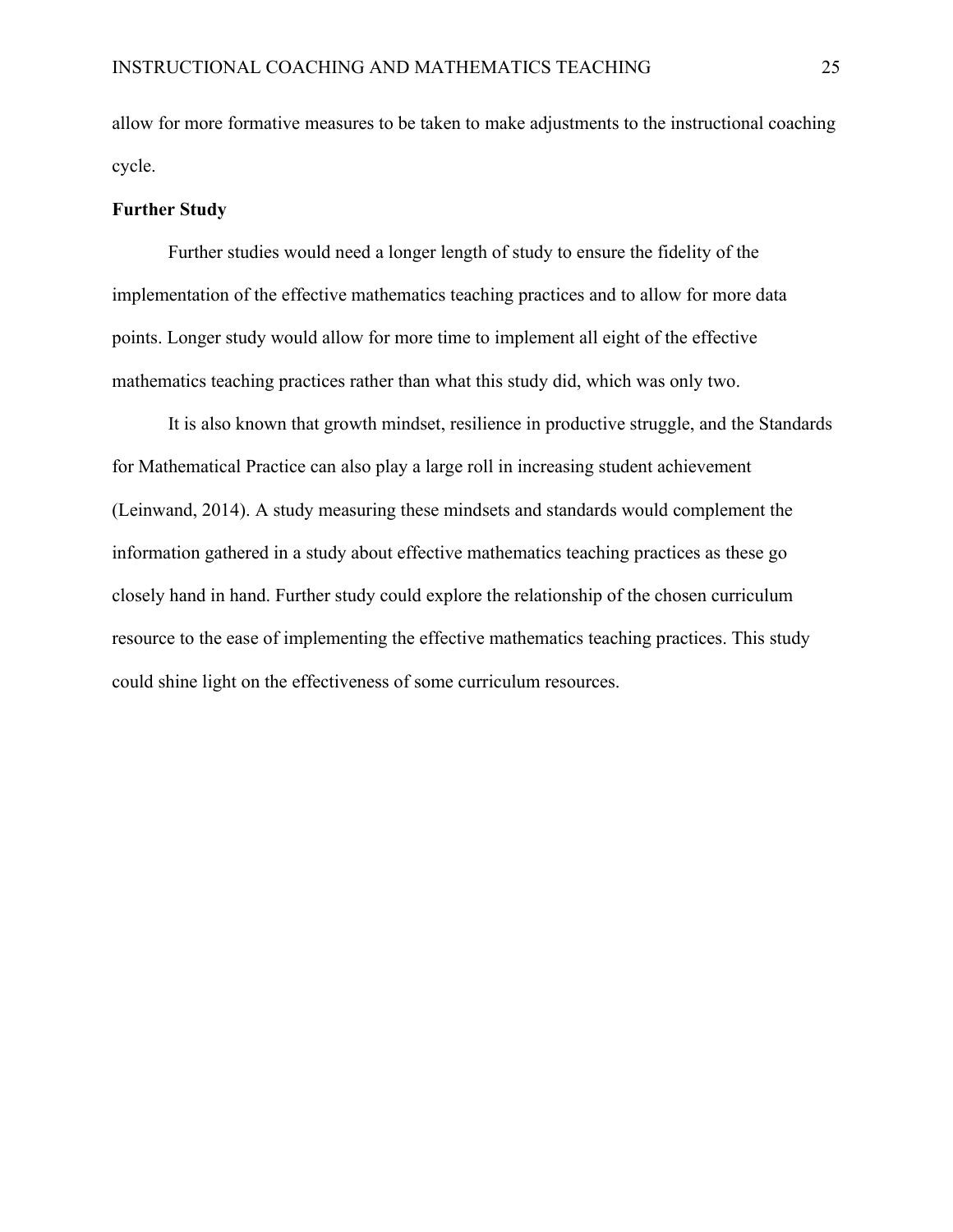allow for more formative measures to be taken to make adjustments to the instructional coaching cycle.

#### **Further Study**

Further studies would need a longer length of study to ensure the fidelity of the implementation of the effective mathematics teaching practices and to allow for more data points. Longer study would allow for more time to implement all eight of the effective mathematics teaching practices rather than what this study did, which was only two.

It is also known that growth mindset, resilience in productive struggle, and the Standards for Mathematical Practice can also play a large roll in increasing student achievement (Leinwand, 2014). A study measuring these mindsets and standards would complement the information gathered in a study about effective mathematics teaching practices as these go closely hand in hand. Further study could explore the relationship of the chosen curriculum resource to the ease of implementing the effective mathematics teaching practices. This study could shine light on the effectiveness of some curriculum resources.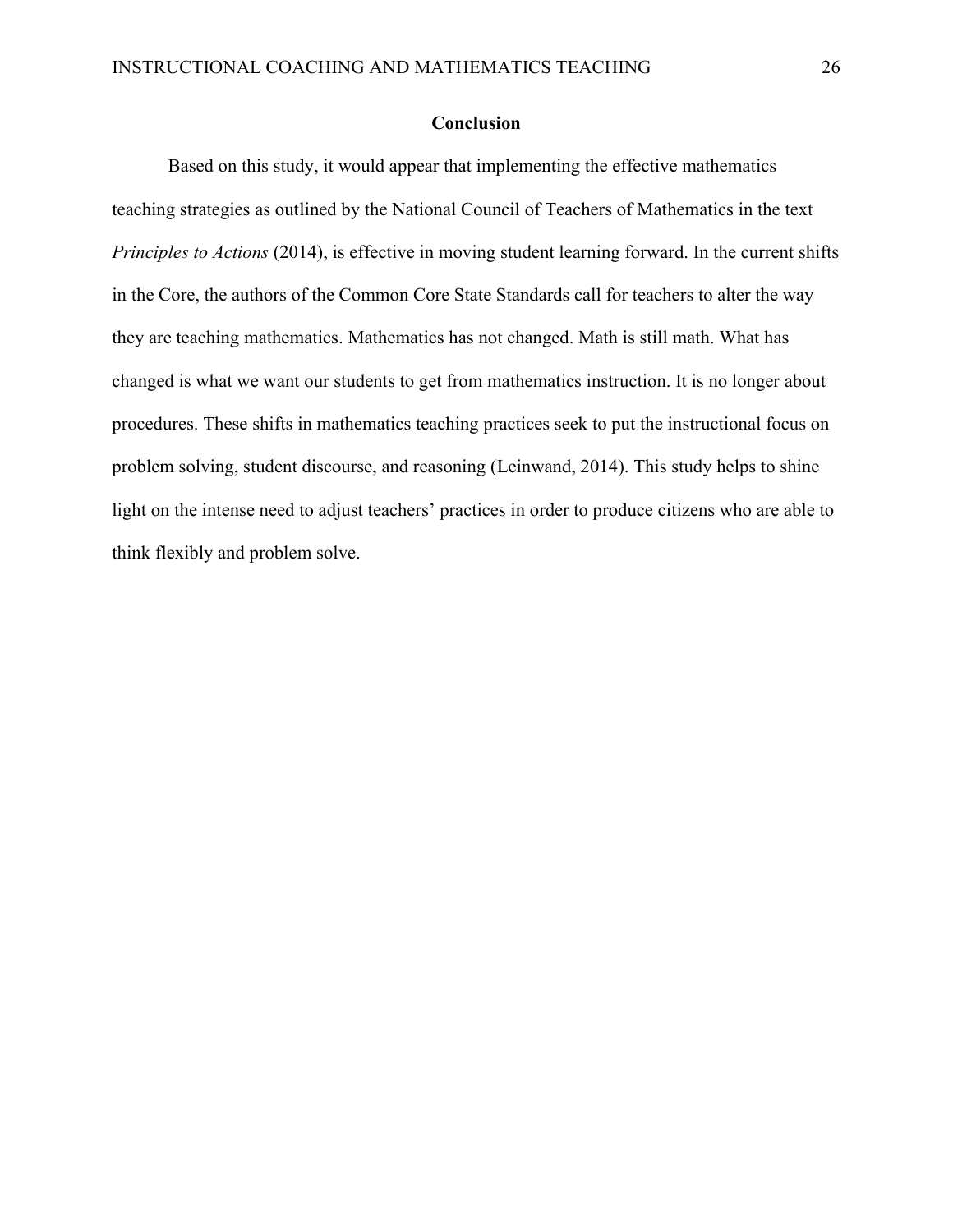# **Conclusion**

Based on this study, it would appear that implementing the effective mathematics teaching strategies as outlined by the National Council of Teachers of Mathematics in the text *Principles to Actions* (2014), is effective in moving student learning forward. In the current shifts in the Core, the authors of the Common Core State Standards call for teachers to alter the way they are teaching mathematics. Mathematics has not changed. Math is still math. What has changed is what we want our students to get from mathematics instruction. It is no longer about procedures. These shifts in mathematics teaching practices seek to put the instructional focus on problem solving, student discourse, and reasoning (Leinwand, 2014). This study helps to shine light on the intense need to adjust teachers' practices in order to produce citizens who are able to think flexibly and problem solve.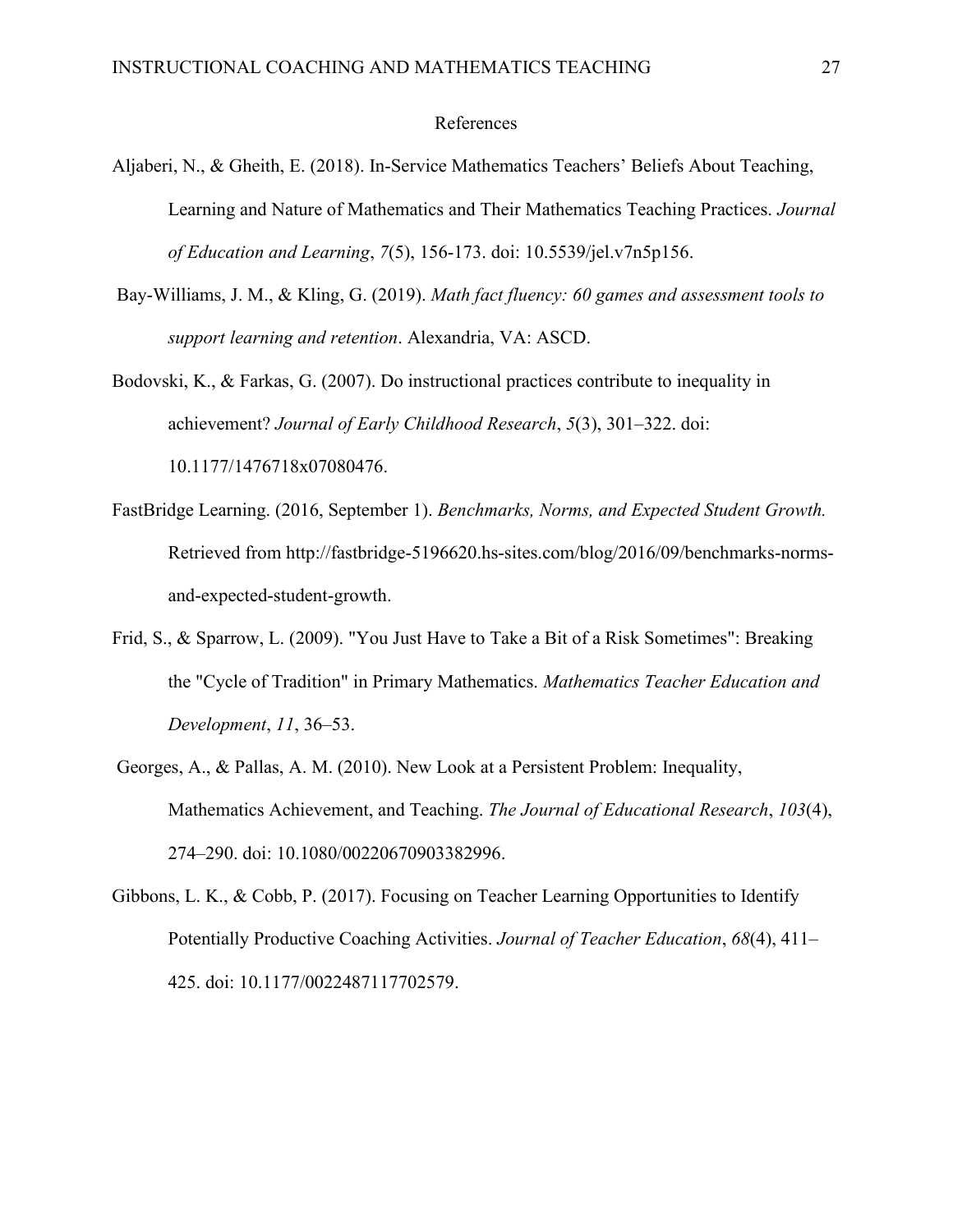#### References

- Aljaberi, N., & Gheith, E. (2018). In-Service Mathematics Teachers' Beliefs About Teaching, Learning and Nature of Mathematics and Their Mathematics Teaching Practices. *Journal of Education and Learning*, *7*(5), 156-173. doi: 10.5539/jel.v7n5p156.
- Bay-Williams, J. M., & Kling, G. (2019). *Math fact fluency: 60 games and assessment tools to support learning and retention*. Alexandria, VA: ASCD.
- Bodovski, K., & Farkas, G. (2007). Do instructional practices contribute to inequality in achievement? *Journal of Early Childhood Research*, *5*(3), 301–322. doi: 10.1177/1476718x07080476.
- FastBridge Learning. (2016, September 1). *Benchmarks, Norms, and Expected Student Growth.* Retrieved from http://fastbridge-5196620.hs-sites.com/blog/2016/09/benchmarks-normsand-expected-student-growth.
- Frid, S., & Sparrow, L. (2009). "You Just Have to Take a Bit of a Risk Sometimes": Breaking the "Cycle of Tradition" in Primary Mathematics. *Mathematics Teacher Education and Development*, *11*, 36–53.
- Georges, A., & Pallas, A. M. (2010). New Look at a Persistent Problem: Inequality, Mathematics Achievement, and Teaching. *The Journal of Educational Research*, *103*(4), 274–290. doi: 10.1080/00220670903382996.
- Gibbons, L. K., & Cobb, P. (2017). Focusing on Teacher Learning Opportunities to Identify Potentially Productive Coaching Activities. *Journal of Teacher Education*, *68*(4), 411– 425. doi: 10.1177/0022487117702579.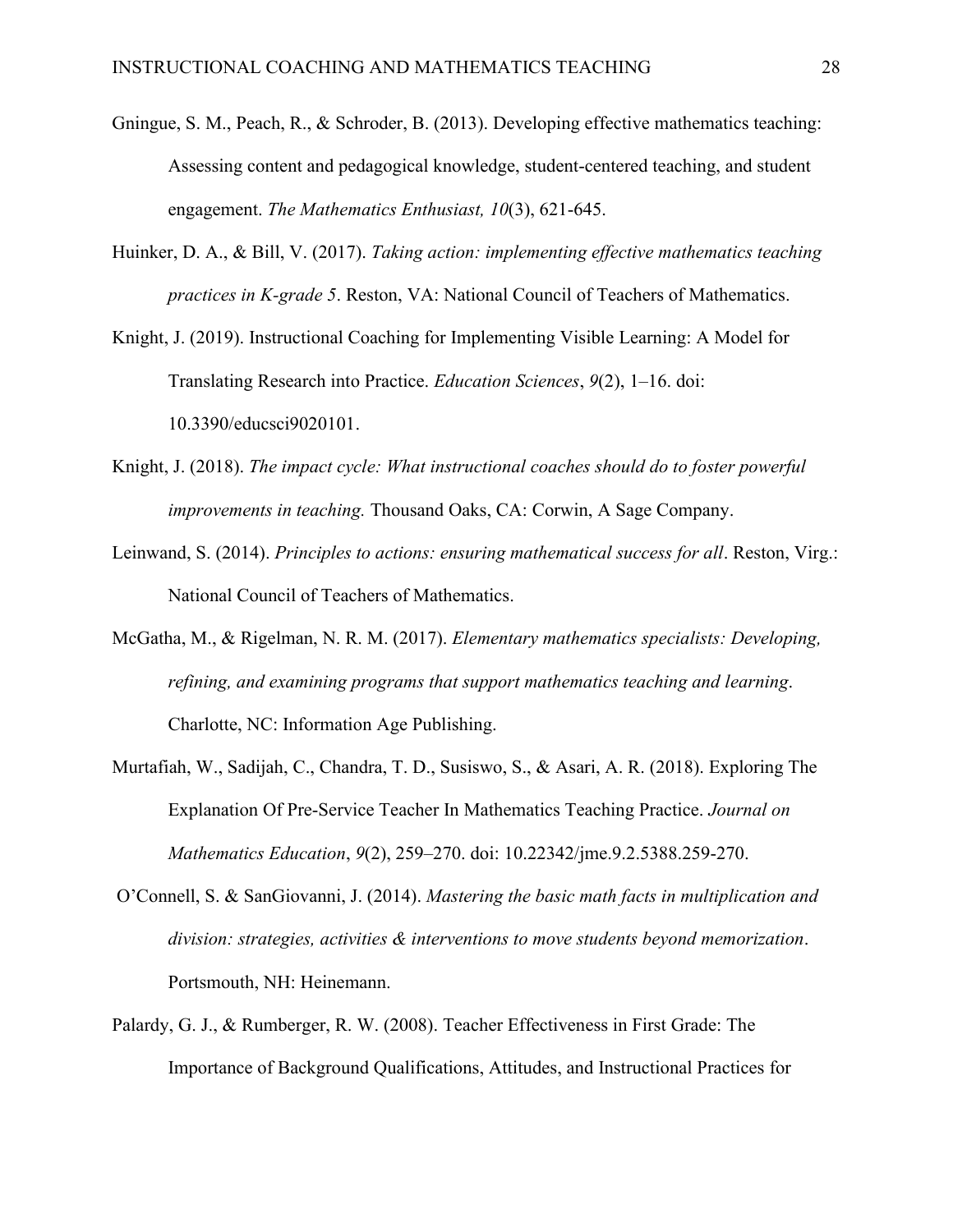- Gningue, S. M., Peach, R., & Schroder, B. (2013). Developing effective mathematics teaching: Assessing content and pedagogical knowledge, student-centered teaching, and student engagement. *The Mathematics Enthusiast, 10*(3), 621-645.
- Huinker, D. A., & Bill, V. (2017). *Taking action: implementing effective mathematics teaching practices in K-grade 5*. Reston, VA: National Council of Teachers of Mathematics.
- Knight, J. (2019). Instructional Coaching for Implementing Visible Learning: A Model for Translating Research into Practice. *Education Sciences*, *9*(2), 1–16. doi: 10.3390/educsci9020101.
- Knight, J. (2018). *The impact cycle: What instructional coaches should do to foster powerful improvements in teaching.* Thousand Oaks, CA: Corwin, A Sage Company.
- Leinwand, S. (2014). *Principles to actions: ensuring mathematical success for all*. Reston, Virg.: National Council of Teachers of Mathematics.
- McGatha, M., & Rigelman, N. R. M. (2017). *Elementary mathematics specialists: Developing, refining, and examining programs that support mathematics teaching and learning*. Charlotte, NC: Information Age Publishing.
- Murtafiah, W., Sadijah, C., Chandra, T. D., Susiswo, S., & Asari, A. R. (2018). Exploring The Explanation Of Pre-Service Teacher In Mathematics Teaching Practice. *Journal on Mathematics Education*, *9*(2), 259–270. doi: 10.22342/jme.9.2.5388.259-270.
- O'Connell, S. & SanGiovanni, J. (2014). *Mastering the basic math facts in multiplication and division: strategies, activities & interventions to move students beyond memorization*. Portsmouth, NH: Heinemann.
- Palardy, G. J., & Rumberger, R. W. (2008). Teacher Effectiveness in First Grade: The Importance of Background Qualifications, Attitudes, and Instructional Practices for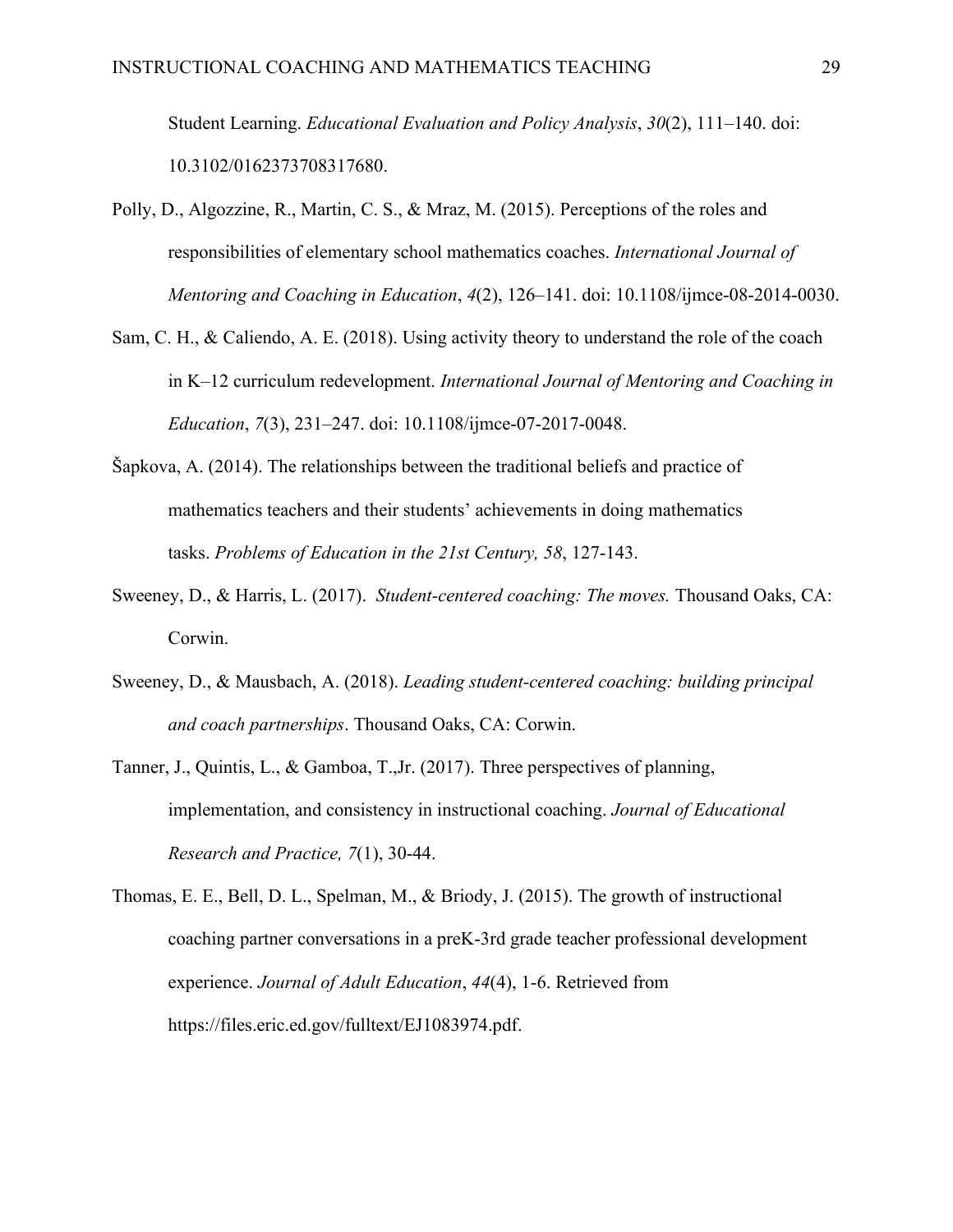Student Learning. *Educational Evaluation and Policy Analysis*, *30*(2), 111–140. doi: 10.3102/0162373708317680.

- Polly, D., Algozzine, R., Martin, C. S., & Mraz, M. (2015). Perceptions of the roles and responsibilities of elementary school mathematics coaches. *International Journal of Mentoring and Coaching in Education*, *4*(2), 126–141. doi: 10.1108/ijmce-08-2014-0030.
- Sam, C. H., & Caliendo, A. E. (2018). Using activity theory to understand the role of the coach in K–12 curriculum redevelopment. *International Journal of Mentoring and Coaching in Education*, *7*(3), 231–247. doi: 10.1108/ijmce-07-2017-0048.
- Šapkova, A. (2014). The relationships between the traditional beliefs and practice of mathematics teachers and their students' achievements in doing mathematics tasks. *Problems of Education in the 21st Century, 58*, 127-143.
- Sweeney, D., & Harris, L. (2017). *Student-centered coaching: The moves.* Thousand Oaks, CA: Corwin.
- Sweeney, D., & Mausbach, A. (2018). *Leading student-centered coaching: building principal and coach partnerships*. Thousand Oaks, CA: Corwin.
- Tanner, J., Quintis, L., & Gamboa, T.,Jr. (2017). Three perspectives of planning, implementation, and consistency in instructional coaching. *Journal of Educational Research and Practice, 7*(1), 30-44.
- Thomas, E. E., Bell, D. L., Spelman, M., & Briody, J. (2015). The growth of instructional coaching partner conversations in a preK-3rd grade teacher professional development experience. *Journal of Adult Education*, *44*(4), 1-6. Retrieved from https://files.eric.ed.gov/fulltext/EJ1083974.pdf.